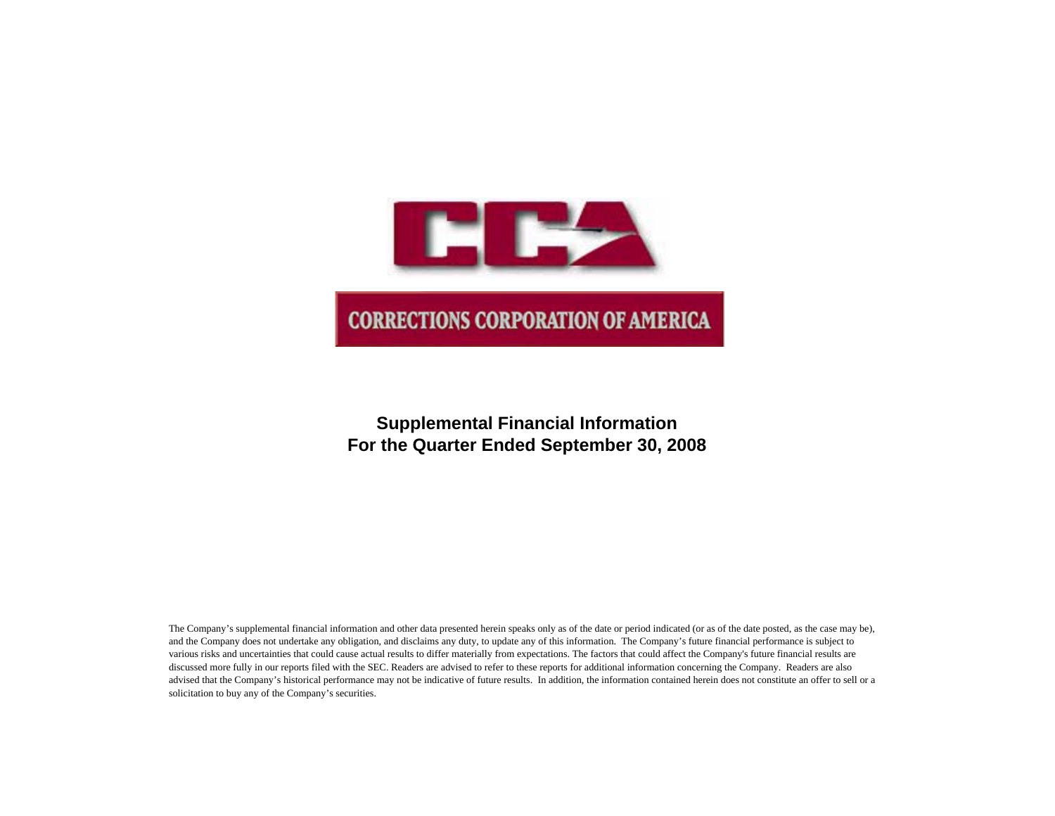

# **Supplemental Financial Information For the Quarter Ended September 30, 2008**

The Company's supplemental financial information and other data presented herein speaks only as of the date or period indicated (or as of the date posted, as the case may be), and the Company does not undertake any obligation, and disclaims any duty, to update any of this information. The Company's future financial performance is subject to various risks and uncertainties that could cause actual results to differ materially from expectations. The factors that could affect the Company's future financial results are discussed more fully in our reports filed with the SEC. Readers are advised to refer to these reports for additional information concerning the Company. Readers are also advised that the Company's historical performance may not be indicative of future results. In addition, the information contained herein does not constitute an offer to sell or a solicitation to buy any of the Company's securities.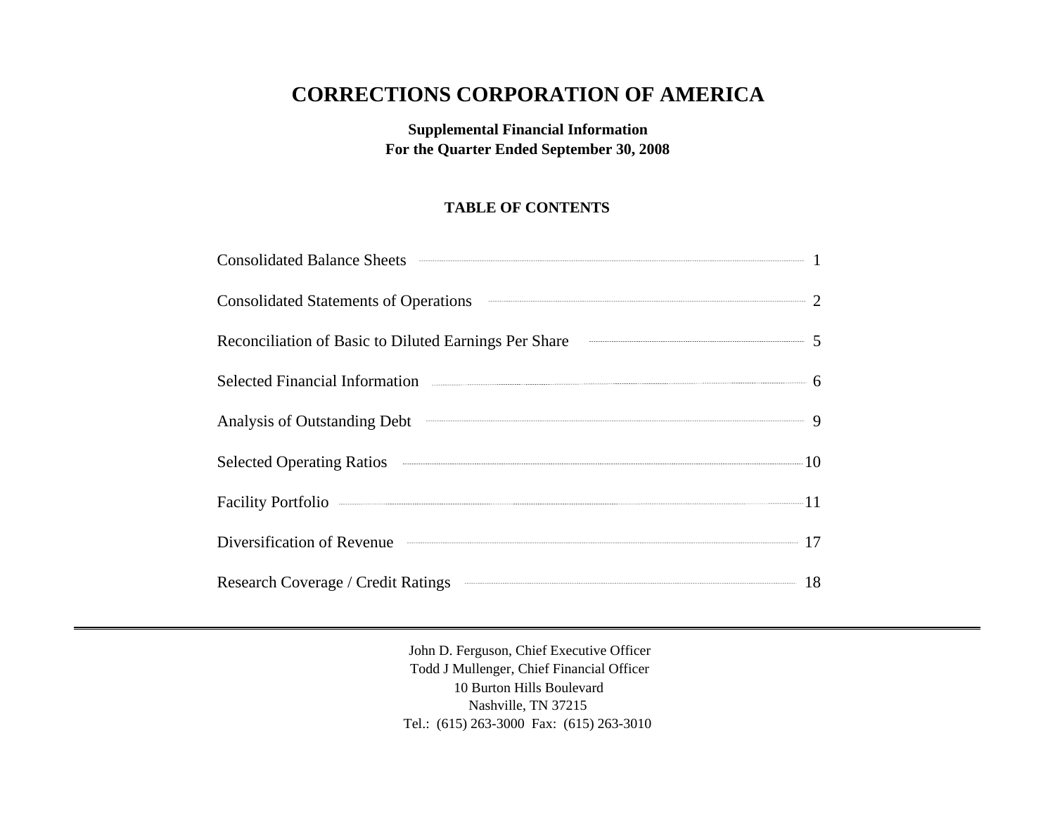# **CORRECTIONS CORPORATION OF AMERICA**

**Supplemental Financial Information For the Quarter Ended September 30, 2008**

## **TABLE OF CONTENTS**

| <b>Consolidated Balance Sheets</b>                                            |                                                                                |
|-------------------------------------------------------------------------------|--------------------------------------------------------------------------------|
| <b>Consolidated Statements of Operations</b>                                  |                                                                                |
| Reconciliation of Basic to Diluted Earnings Per Share                         | $\begin{array}{c c c c c c c c c} \hline \multicolumn{3}{c c }{5} \end{array}$ |
|                                                                               |                                                                                |
| $\overbrace{\hspace{15em}}^{\hspace{15em} 9}$<br>Analysis of Outstanding Debt |                                                                                |
|                                                                               |                                                                                |
|                                                                               |                                                                                |
| Diversification of Revenue <b>Container and Serversification</b> 17           |                                                                                |
| Research Coverage / Credit Ratings                                            |                                                                                |

John D. Ferguson, Chief Executive Officer Todd J Mullenger, Chief Financial Officer 10 Burton Hills Boulevard Nashville, TN 37215 Tel.: (615) 263-3000 Fax: (615) 263-3010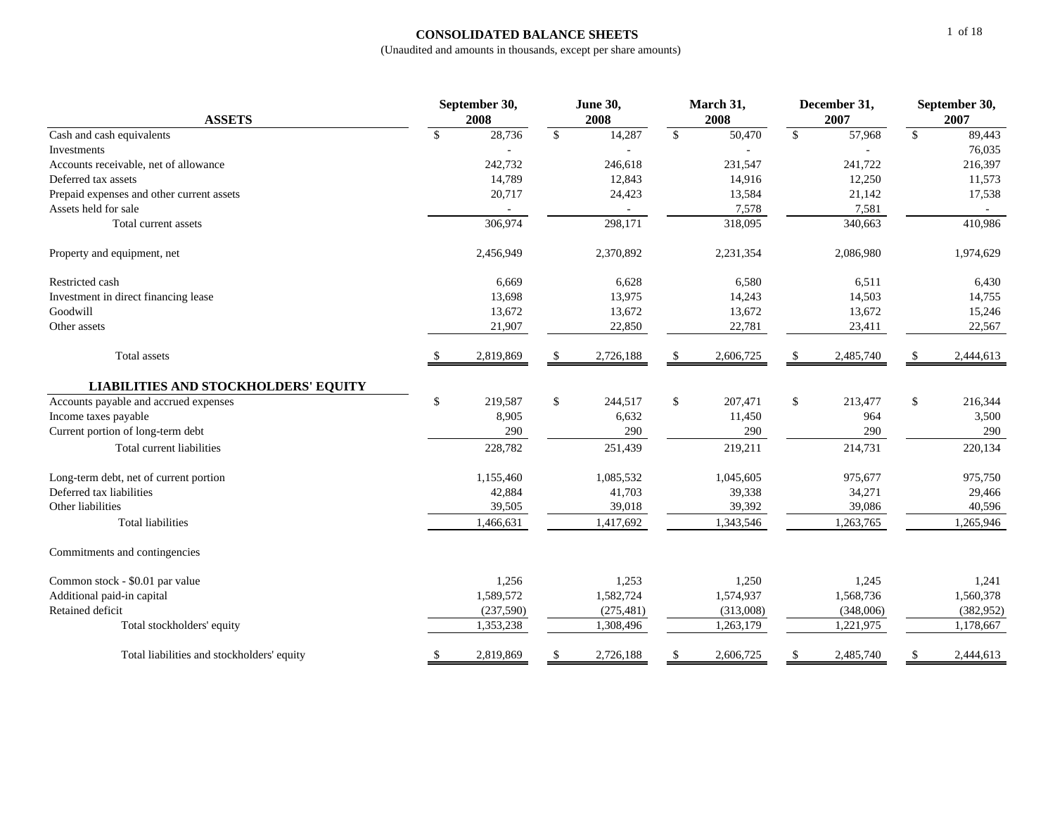## **CONSOLIDATED BALANCE SHEETS**

| <b>ASSETS</b>                               |               | September 30,<br>2008 |               | <b>June 30,</b><br>2008  | March 31,<br>2008 |              | December 31,<br>2007 | September 30,<br>2007 |           |  |
|---------------------------------------------|---------------|-----------------------|---------------|--------------------------|-------------------|--------------|----------------------|-----------------------|-----------|--|
| Cash and cash equivalents                   | $\mathbb{S}$  | 28,736                | $\mathbb{S}$  | 14,287                   | \$<br>50,470      | $\mathbb{S}$ | 57,968               | $\mathbb{S}$          | 89,443    |  |
| Investments                                 |               |                       |               |                          |                   |              |                      |                       | 76,035    |  |
| Accounts receivable, net of allowance       |               | 242,732               |               | 246,618                  | 231,547           |              | 241,722              |                       | 216,397   |  |
| Deferred tax assets                         |               | 14,789                |               | 12,843                   | 14,916            |              | 12,250               |                       | 11,573    |  |
| Prepaid expenses and other current assets   |               | 20,717                |               | 24,423                   | 13,584            |              | 21,142               |                       | 17,538    |  |
| Assets held for sale                        |               |                       |               | $\overline{\phantom{a}}$ | 7,578             |              | 7,581                |                       |           |  |
| Total current assets                        |               | 306,974               |               | 298,171                  | 318,095           |              | 340,663              |                       | 410,986   |  |
| Property and equipment, net                 |               | 2,456,949             |               | 2,370,892                | 2,231,354         |              | 2,086,980            |                       | 1,974,629 |  |
| Restricted cash                             |               | 6,669                 |               | 6,628                    | 6,580             |              | 6,511                |                       | 6,430     |  |
| Investment in direct financing lease        |               | 13,698                |               | 13,975                   | 14,243            |              | 14,503               |                       | 14,755    |  |
| Goodwill                                    |               | 13,672                |               | 13,672                   | 13,672            |              | 13,672               |                       | 15,246    |  |
| Other assets                                |               | 21,907                |               | 22,850                   | 22,781            |              | 23,411               |                       | 22,567    |  |
| Total assets                                | <sup>\$</sup> | 2,819,869             | <sup>\$</sup> | 2,726,188                | 2,606,725         | \$           | 2,485,740            | S.                    | 2,444,613 |  |
| <b>LIABILITIES AND STOCKHOLDERS' EQUITY</b> |               |                       |               |                          |                   |              |                      |                       |           |  |
| Accounts payable and accrued expenses       | \$            | 219,587               | \$            | 244,517                  | \$<br>207,471     | \$           | 213,477              | \$                    | 216,344   |  |
| Income taxes payable                        |               | 8,905                 |               | 6,632                    | 11,450            |              | 964                  |                       | 3,500     |  |
| Current portion of long-term debt           |               | 290                   |               | 290                      | 290               |              | 290                  |                       | 290       |  |
| Total current liabilities                   |               | 228,782               |               | 251,439                  | 219,211           |              | 214,731              |                       | 220,134   |  |
| Long-term debt, net of current portion      |               | 1,155,460             |               | 1,085,532                | 1,045,605         |              | 975,677              |                       | 975,750   |  |
| Deferred tax liabilities                    |               | 42,884                |               | 41,703                   | 39,338            |              | 34,271               |                       | 29,466    |  |
| Other liabilities                           |               | 39,505                |               | 39,018                   | 39,392            |              | 39,086               |                       | 40,596    |  |
| <b>Total liabilities</b>                    |               | 1,466,631             |               | 1,417,692                | 1,343,546         |              | 1,263,765            |                       | 1,265,946 |  |
| Commitments and contingencies               |               |                       |               |                          |                   |              |                      |                       |           |  |
| Common stock - \$0.01 par value             |               | 1,256                 |               | 1,253                    | 1,250             |              | 1,245                |                       | 1,241     |  |
| Additional paid-in capital                  |               | 1,589,572             |               | 1,582,724                | 1,574,937         |              | 1,568,736            |                       | 1,560,378 |  |
| Retained deficit                            |               | (237,590)             |               | (275, 481)               | (313,008)         |              | (348,006)            |                       | (382,952) |  |
| Total stockholders' equity                  |               | 1,353,238             |               | 1,308,496                | 1,263,179         |              | 1,221,975            |                       | 1,178,667 |  |
| Total liabilities and stockholders' equity  | \$            | 2,819,869             | \$            | 2,726,188                | \$<br>2,606,725   | \$           | 2,485,740            | \$                    | 2,444,613 |  |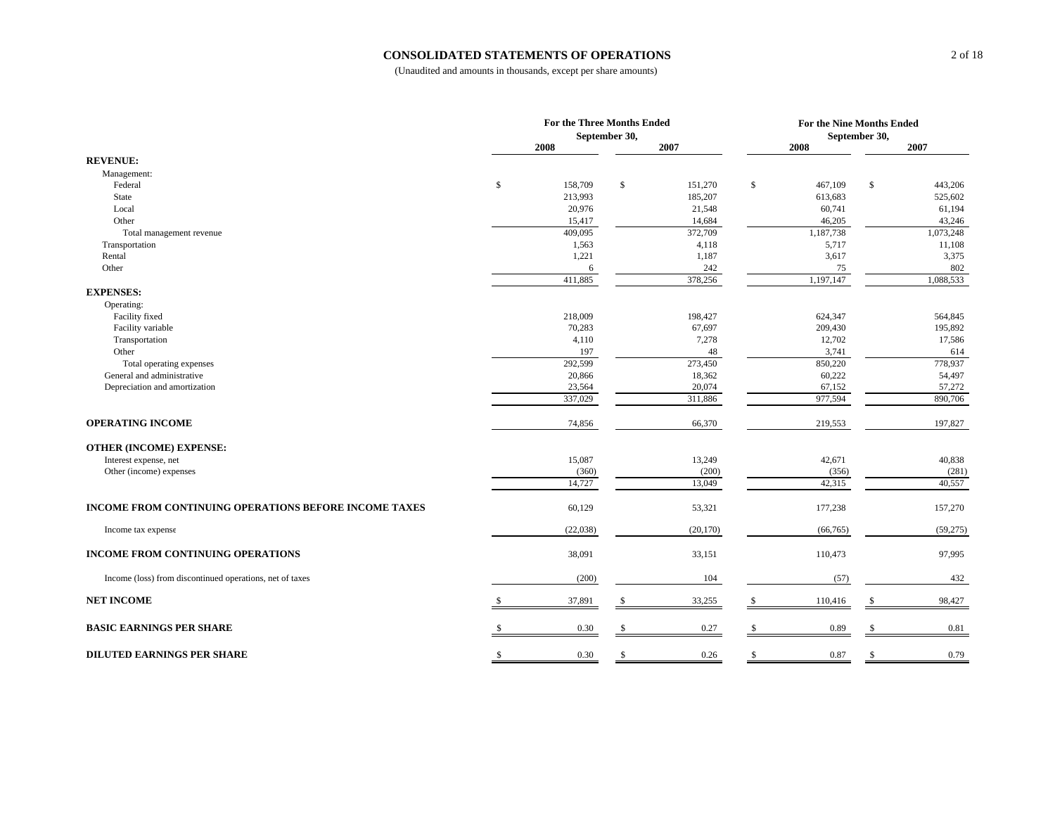#### **CONSOLIDATED STATEMENTS OF OPERATIONS**

|                                                          | <b>For the Three Months Ended</b><br>September 30, |              |           |              |           | For the Nine Months Ended<br>September 30, |           |  |  |
|----------------------------------------------------------|----------------------------------------------------|--------------|-----------|--------------|-----------|--------------------------------------------|-----------|--|--|
|                                                          | 2008                                               |              | 2007      |              | 2008      |                                            | 2007      |  |  |
| <b>REVENUE:</b>                                          |                                                    |              |           |              |           |                                            |           |  |  |
| Management:                                              |                                                    |              |           |              |           |                                            |           |  |  |
| Federal                                                  | \$<br>158,709                                      | \$           | 151,270   | $\mathbb{S}$ | 467,109   | \$                                         | 443,206   |  |  |
| State                                                    | 213,993                                            |              | 185,207   |              | 613,683   |                                            | 525,602   |  |  |
| Local                                                    | 20,976                                             |              | 21,548    |              | 60,741    |                                            | 61,194    |  |  |
| Other                                                    | 15,417                                             |              | 14,684    |              | 46,205    |                                            | 43,246    |  |  |
| Total management revenue                                 | 409,095                                            |              | 372,709   |              | 1,187,738 |                                            | 1,073,248 |  |  |
| Transportation                                           | 1,563                                              |              | 4,118     |              | 5,717     |                                            | 11,108    |  |  |
| Rental                                                   | 1,221                                              |              | 1,187     |              | 3,617     |                                            | 3,375     |  |  |
| Other                                                    | 6                                                  |              | 242       |              | 75        |                                            | 802       |  |  |
|                                                          | 411,885                                            |              | 378,256   |              | 1,197,147 |                                            | 1,088,533 |  |  |
| <b>EXPENSES:</b>                                         |                                                    |              |           |              |           |                                            |           |  |  |
| Operating:                                               |                                                    |              |           |              |           |                                            |           |  |  |
| Facility fixed                                           | 218,009                                            |              | 198,427   |              | 624,347   |                                            | 564,845   |  |  |
| Facility variable                                        | 70,283                                             |              | 67,697    |              | 209,430   |                                            | 195,892   |  |  |
| Transportation                                           | 4,110                                              |              | 7,278     |              | 12,702    |                                            | 17,586    |  |  |
| Other                                                    | 197                                                |              | 48        |              | 3,741     |                                            | 614       |  |  |
| Total operating expenses                                 | 292,599                                            |              | 273,450   |              | 850,220   |                                            | 778,937   |  |  |
| General and administrative                               | 20,866                                             |              | 18,362    |              | 60,222    |                                            | 54,497    |  |  |
| Depreciation and amortization                            | 23,564                                             |              | 20,074    |              | 67,152    |                                            | 57,272    |  |  |
|                                                          | 337,029                                            |              | 311,886   |              | 977,594   |                                            | 890,706   |  |  |
| <b>OPERATING INCOME</b>                                  | 74,856                                             |              | 66,370    |              | 219,553   |                                            | 197,827   |  |  |
| <b>OTHER (INCOME) EXPENSE:</b>                           |                                                    |              |           |              |           |                                            |           |  |  |
| Interest expense, net                                    | 15,087                                             |              | 13,249    |              | 42,671    |                                            | 40,838    |  |  |
| Other (income) expenses                                  | (360)                                              |              | (200)     |              | (356)     |                                            | (281)     |  |  |
|                                                          | 14,727                                             |              | 13,049    |              | 42,315    |                                            | 40,557    |  |  |
| INCOME FROM CONTINUING OPERATIONS BEFORE INCOME TAXES    | 60,129                                             |              | 53,321    |              | 177,238   |                                            | 157,270   |  |  |
| Income tax expense                                       | (22,038)                                           |              | (20, 170) |              | (66, 765) |                                            | (59,275)  |  |  |
| <b>INCOME FROM CONTINUING OPERATIONS</b>                 | 38,091                                             |              | 33,151    |              | 110,473   |                                            | 97,995    |  |  |
| Income (loss) from discontinued operations, net of taxes | (200)                                              |              | 104       |              | (57)      |                                            | 432       |  |  |
| <b>NET INCOME</b>                                        | 37,891                                             |              | 33,255    | -S           | 110,416   |                                            | 98,427    |  |  |
| <b>BASIC EARNINGS PER SHARE</b>                          | 0.30                                               | \$           | 0.27      | -S           | 0.89      | <b>S</b>                                   | 0.81      |  |  |
|                                                          |                                                    |              |           |              |           |                                            |           |  |  |
| <b>DILUTED EARNINGS PER SHARE</b>                        | \$<br>0.30                                         | $\mathbb{S}$ | 0.26      | \$           | 0.87      | $\mathbb{S}$                               | 0.79      |  |  |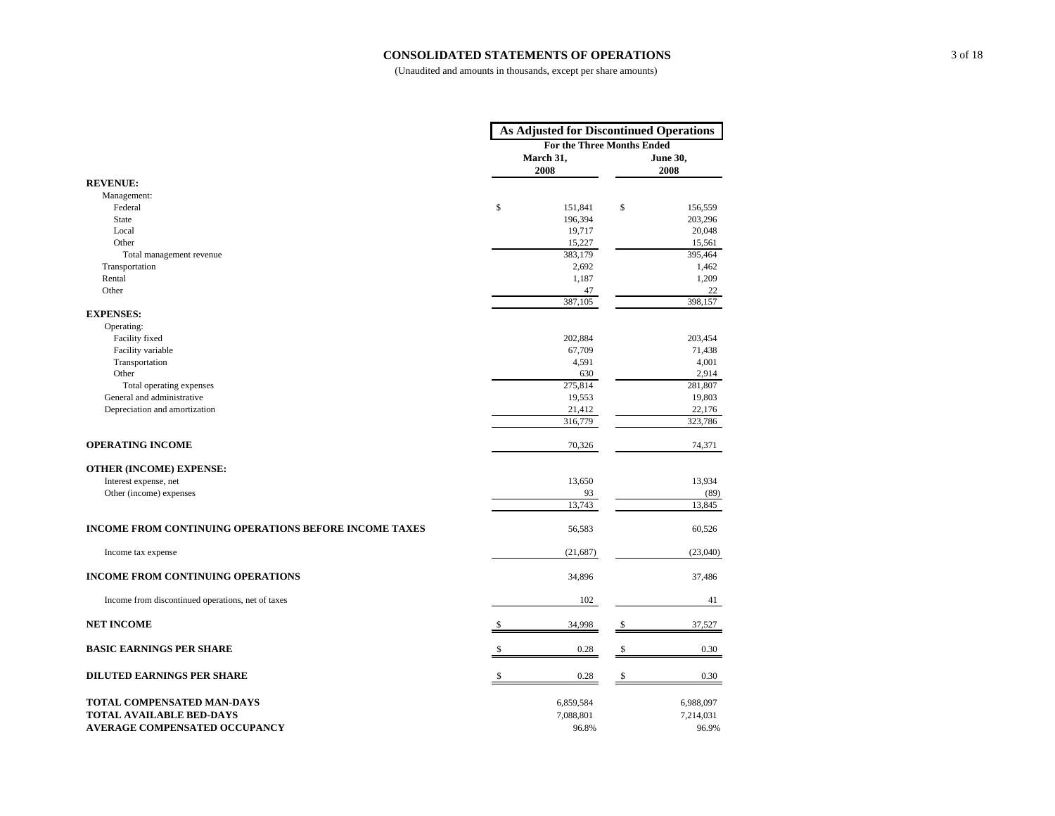#### **CONSOLIDATED STATEMENTS OF OPERATIONS**

|                                                              |               | <b>As Adjusted for Discontinued Operations</b> |              |                         |  |  |
|--------------------------------------------------------------|---------------|------------------------------------------------|--------------|-------------------------|--|--|
|                                                              |               | For the Three Months Ended                     |              |                         |  |  |
|                                                              |               | March 31,<br>2008                              |              | <b>June 30,</b><br>2008 |  |  |
| <b>REVENUE:</b>                                              |               |                                                |              |                         |  |  |
| Management:                                                  |               |                                                |              |                         |  |  |
| Federal                                                      | \$            | 151,841                                        | \$           | 156,559                 |  |  |
| <b>State</b>                                                 |               | 196,394                                        |              | 203,296                 |  |  |
| Local                                                        |               | 19,717                                         |              | 20,048                  |  |  |
| Other                                                        |               | 15,227                                         |              | 15,561                  |  |  |
| Total management revenue                                     |               | 383,179                                        |              | 395,464                 |  |  |
| Transportation                                               |               | 2,692                                          |              | 1,462                   |  |  |
| Rental                                                       |               | 1,187                                          |              | 1,209                   |  |  |
| Other                                                        |               | 47                                             |              | 22                      |  |  |
|                                                              |               | 387,105                                        |              | 398,157                 |  |  |
| <b>EXPENSES:</b>                                             |               |                                                |              |                         |  |  |
| Operating:                                                   |               |                                                |              |                         |  |  |
| Facility fixed                                               |               | 202,884                                        |              | 203,454                 |  |  |
| Facility variable                                            |               | 67,709                                         |              | 71,438                  |  |  |
| Transportation                                               |               | 4,591                                          |              | 4,001                   |  |  |
| Other                                                        |               | 630                                            |              | 2,914                   |  |  |
| Total operating expenses                                     |               | 275,814                                        |              | 281,807                 |  |  |
| General and administrative                                   |               | 19,553                                         |              | 19,803                  |  |  |
| Depreciation and amortization                                |               | 21,412                                         |              | 22,176                  |  |  |
|                                                              |               | 316,779                                        |              | 323,786                 |  |  |
| <b>OPERATING INCOME</b>                                      |               | 70,326                                         |              | 74,371                  |  |  |
| <b>OTHER (INCOME) EXPENSE:</b>                               |               |                                                |              |                         |  |  |
| Interest expense, net                                        |               | 13,650                                         |              | 13,934                  |  |  |
| Other (income) expenses                                      |               | 93                                             |              | (89)                    |  |  |
|                                                              |               | 13,743                                         |              | 13,845                  |  |  |
| <b>INCOME FROM CONTINUING OPERATIONS BEFORE INCOME TAXES</b> |               | 56,583                                         |              | 60,526                  |  |  |
| Income tax expense                                           |               | (21,687)                                       |              | (23,040)                |  |  |
| <b>INCOME FROM CONTINUING OPERATIONS</b>                     |               | 34,896                                         |              | 37,486                  |  |  |
| Income from discontinued operations, net of taxes            |               | 102                                            |              | 41                      |  |  |
| <b>NET INCOME</b>                                            | <sup>\$</sup> | 34,998                                         | \$           | 37,527                  |  |  |
| <b>BASIC EARNINGS PER SHARE</b>                              |               | 0.28                                           | $\mathbf{s}$ | 0.30                    |  |  |
| <b>DILUTED EARNINGS PER SHARE</b>                            |               | 0.28                                           | $\mathbf S$  | 0.30                    |  |  |
|                                                              |               |                                                |              |                         |  |  |
| TOTAL COMPENSATED MAN-DAYS                                   |               | 6,859,584                                      |              | 6,988,097               |  |  |
| <b>TOTAL AVAILABLE BED-DAYS</b>                              |               | 7,088,801                                      |              | 7,214,031               |  |  |
| <b>AVERAGE COMPENSATED OCCUPANCY</b>                         |               | 96.8%                                          |              | 96.9%                   |  |  |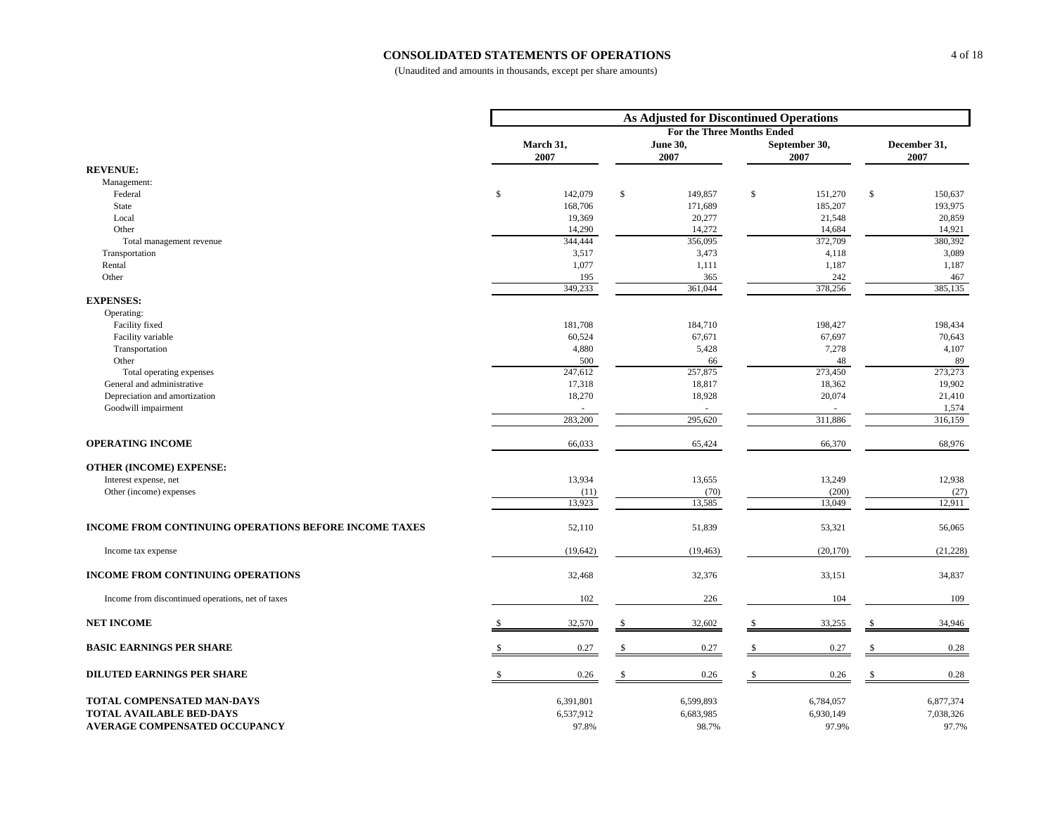#### **CONSOLIDATED STATEMENTS OF OPERATIONS**

|                                                              |                   |    | <b>As Adjusted for Discontinued Operations</b> |              |                       |    |                      |
|--------------------------------------------------------------|-------------------|----|------------------------------------------------|--------------|-----------------------|----|----------------------|
|                                                              |                   |    | For the Three Months Ended                     |              |                       |    |                      |
|                                                              | March 31,<br>2007 |    | <b>June 30,</b><br>2007                        |              | September 30,<br>2007 |    | December 31,<br>2007 |
| <b>REVENUE:</b>                                              |                   |    |                                                |              |                       |    |                      |
| Management:                                                  |                   |    |                                                |              |                       |    |                      |
| Federal                                                      | \$<br>142,079     | \$ | 149,857                                        | \$           | 151,270               | \$ | 150,637              |
| State                                                        | 168,706           |    | 171,689                                        |              | 185,207               |    | 193,975              |
| Local                                                        | 19,369            |    | 20,277                                         |              | 21,548                |    | 20,859               |
| Other                                                        | 14,290            |    | 14,272                                         |              | 14,684                |    | 14,921               |
| Total management revenue                                     | 344,444           |    | 356,095                                        |              | 372,709               |    | 380,392              |
| Transportation                                               | 3,517             |    | 3,473                                          |              | 4,118                 |    | 3,089                |
| Rental                                                       | 1,077             |    | 1,111                                          |              | 1,187                 |    | 1,187                |
| Other                                                        | 195<br>349,233    |    | 365<br>361,044                                 |              | 242<br>378,256        |    | 467<br>385,135       |
| <b>EXPENSES:</b>                                             |                   |    |                                                |              |                       |    |                      |
| Operating:                                                   |                   |    |                                                |              |                       |    |                      |
| Facility fixed                                               | 181,708           |    | 184,710                                        |              | 198,427               |    | 198,434              |
| Facility variable                                            | 60,524            |    | 67,671                                         |              | 67,697                |    | 70,643               |
| Transportation                                               | 4,880             |    | 5,428                                          |              | 7,278                 |    | 4,107                |
| Other                                                        | 500               |    | 66                                             |              | 48                    |    | 89                   |
| Total operating expenses                                     | 247,612           |    | 257,875                                        |              | 273,450               |    | 273,273              |
| General and administrative                                   | 17,318            |    | 18,817                                         |              | 18,362                |    | 19,902               |
| Depreciation and amortization                                | 18,270            |    | 18,928                                         |              | 20,074                |    | 21,410               |
| Goodwill impairment                                          |                   |    |                                                |              |                       |    | 1,574                |
|                                                              | 283,200           |    | 295,620                                        |              | 311,886               |    | 316,159              |
| <b>OPERATING INCOME</b>                                      | 66,033            |    | 65,424                                         |              | 66,370                |    | 68,976               |
| <b>OTHER (INCOME) EXPENSE:</b>                               |                   |    |                                                |              |                       |    |                      |
| Interest expense, net                                        | 13,934            |    | 13,655                                         |              | 13,249                |    | 12,938               |
| Other (income) expenses                                      | (11)              |    | (70)                                           |              | (200)                 |    | (27)                 |
|                                                              | 13,923            |    | 13,585                                         |              | 13,049                |    | 12,911               |
| <b>INCOME FROM CONTINUING OPERATIONS BEFORE INCOME TAXES</b> | 52,110            |    | 51,839                                         |              | 53,321                |    | 56,065               |
| Income tax expense                                           | (19,642)          |    | (19, 463)                                      |              | (20, 170)             |    | (21, 228)            |
| <b>INCOME FROM CONTINUING OPERATIONS</b>                     | 32,468            |    | 32,376                                         |              | 33,151                |    | 34,837               |
| Income from discontinued operations, net of taxes            | 102               |    | 226                                            |              | 104                   |    | 109                  |
| <b>NET INCOME</b>                                            | 32,570            | -S | 32,602                                         | \$           | 33,255                | .S | 34,946               |
| <b>BASIC EARNINGS PER SHARE</b>                              | 0.27              | s. | 0.27                                           | $\mathbf{s}$ | 0.27                  | \$ | 0.28                 |
|                                                              |                   |    |                                                |              |                       |    |                      |
| <b>DILUTED EARNINGS PER SHARE</b>                            | 0.26              | \$ | 0.26                                           | \$           | 0.26                  | \$ | 0.28                 |
| TOTAL COMPENSATED MAN-DAYS                                   | 6,391,801         |    | 6,599,893                                      |              | 6,784,057             |    | 6,877,374            |
| <b>TOTAL AVAILABLE BED-DAYS</b>                              | 6,537,912         |    | 6,683,985                                      |              | 6,930,149             |    | 7,038,326            |
| <b>AVERAGE COMPENSATED OCCUPANCY</b>                         | 97.8%             |    | 98.7%                                          |              | 97.9%                 |    | 97.7%                |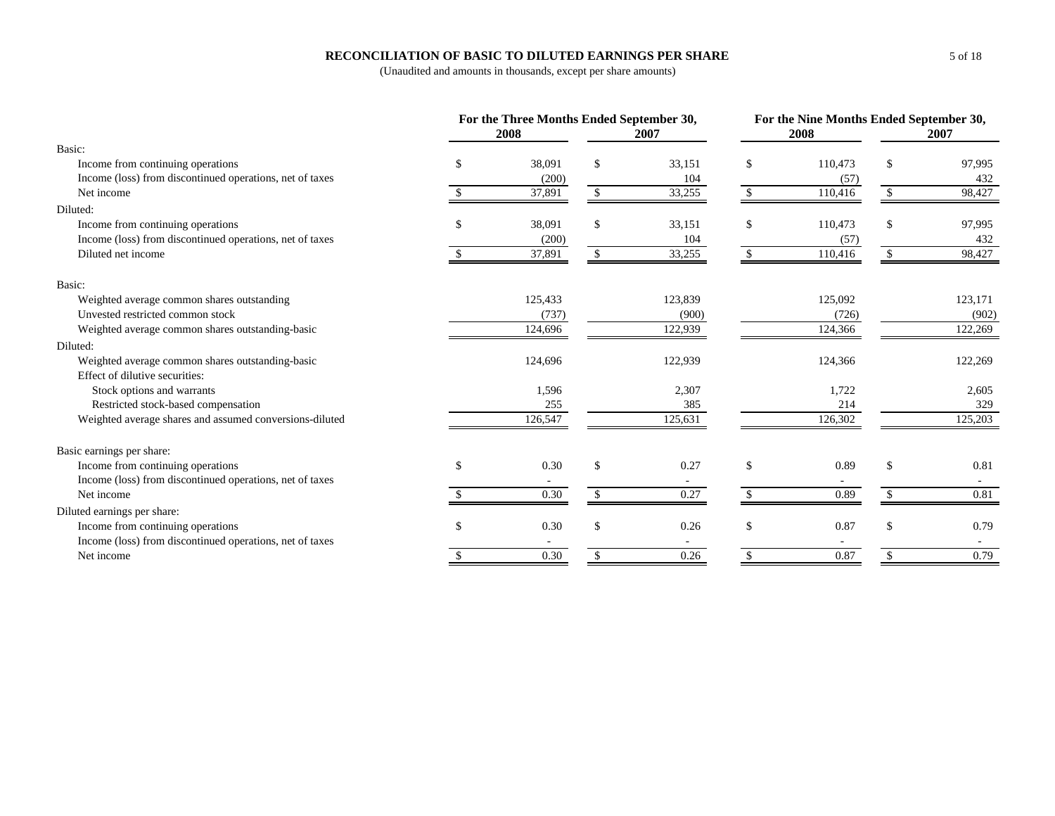#### **RECONCILIATION OF BASIC TO DILUTED EARNINGS PER SHARE**

|                                                          |     | For the Three Months Ended September 30, |    |         |               |         | For the Nine Months Ended September 30, |         |  |
|----------------------------------------------------------|-----|------------------------------------------|----|---------|---------------|---------|-----------------------------------------|---------|--|
|                                                          |     | 2008                                     |    | 2007    |               | 2008    |                                         | 2007    |  |
| Basic:                                                   |     |                                          |    |         |               |         |                                         |         |  |
| Income from continuing operations                        |     | 38,091                                   | £. | 33,151  | \$.           | 110,473 | \$                                      | 97,995  |  |
| Income (loss) from discontinued operations, net of taxes |     | (200)                                    |    | 104     |               | (57)    |                                         | 432     |  |
| Net income                                               |     | 37,891                                   |    | 33,255  |               | 110,416 |                                         | 98,427  |  |
| Diluted:                                                 |     |                                          |    |         |               |         |                                         |         |  |
| Income from continuing operations                        |     | 38,091                                   | \$ | 33,151  | <sup>\$</sup> | 110,473 | \$                                      | 97,995  |  |
| Income (loss) from discontinued operations, net of taxes |     | (200)                                    |    | 104     |               | (57)    |                                         | 432     |  |
| Diluted net income                                       |     | 37,891                                   |    | 33,255  |               | 110,416 |                                         | 98,427  |  |
| Basic:                                                   |     |                                          |    |         |               |         |                                         |         |  |
| Weighted average common shares outstanding               |     | 125,433                                  |    | 123,839 |               | 125,092 |                                         | 123,171 |  |
| Unvested restricted common stock                         |     | (737)                                    |    | (900)   |               | (726)   |                                         | (902)   |  |
| Weighted average common shares outstanding-basic         |     | 124,696                                  |    | 122,939 |               | 124,366 |                                         | 122,269 |  |
| Diluted:                                                 |     |                                          |    |         |               |         |                                         |         |  |
| Weighted average common shares outstanding-basic         |     | 124,696                                  |    | 122,939 |               | 124,366 |                                         | 122,269 |  |
| Effect of dilutive securities:                           |     |                                          |    |         |               |         |                                         |         |  |
| Stock options and warrants                               |     | 1,596                                    |    | 2,307   |               | 1,722   |                                         | 2,605   |  |
| Restricted stock-based compensation                      |     | 255                                      |    | 385     |               | 214     |                                         | 329     |  |
| Weighted average shares and assumed conversions-diluted  |     | 126,547                                  |    | 125,631 |               | 126,302 |                                         | 125,203 |  |
| Basic earnings per share:                                |     |                                          |    |         |               |         |                                         |         |  |
| Income from continuing operations                        | \$. | 0.30                                     |    | 0.27    | \$            | 0.89    | \$                                      | 0.81    |  |
| Income (loss) from discontinued operations, net of taxes |     |                                          |    |         |               |         |                                         |         |  |
| Net income                                               |     | 0.30                                     |    | 0.27    |               | 0.89    |                                         | 0.81    |  |
| Diluted earnings per share:                              |     |                                          |    |         |               |         |                                         |         |  |
| Income from continuing operations                        |     | 0.30                                     |    | 0.26    | $\mathbf{s}$  | 0.87    | \$                                      | 0.79    |  |
| Income (loss) from discontinued operations, net of taxes |     |                                          |    |         |               |         |                                         | $\sim$  |  |
| Net income                                               |     | 0.30                                     |    | 0.26    |               | 0.87    |                                         | 0.79    |  |
|                                                          |     |                                          |    |         |               |         |                                         |         |  |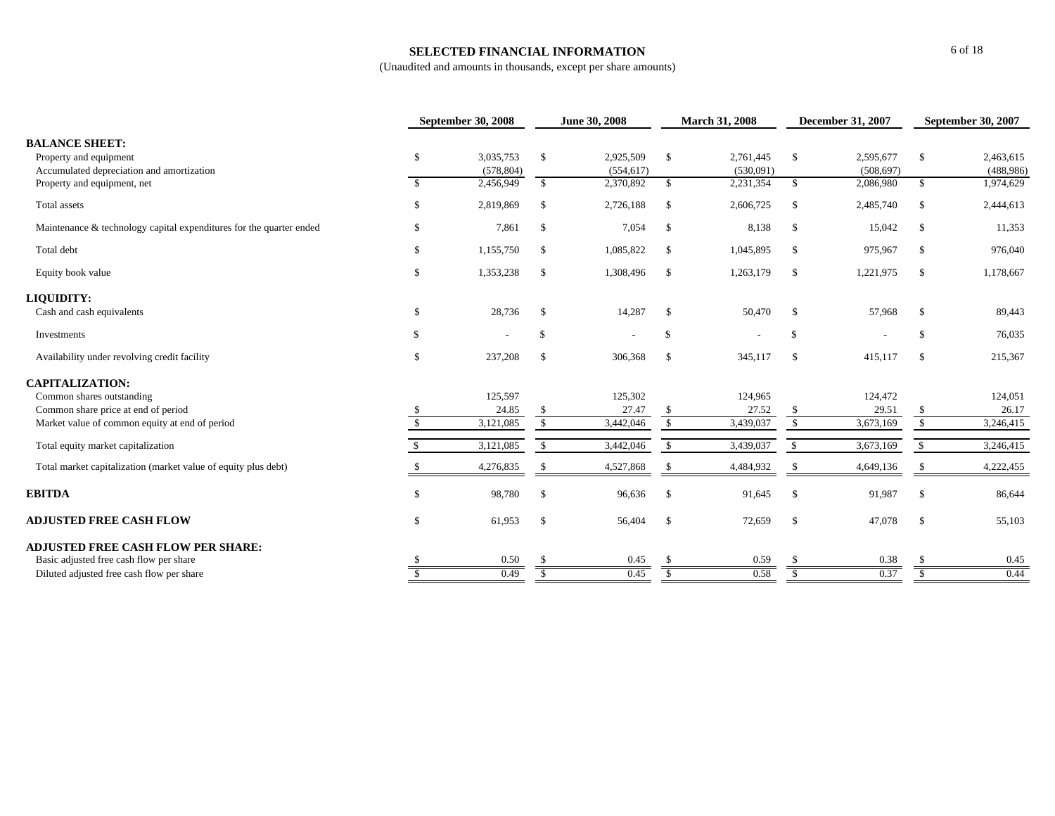#### **SELECTED FINANCIAL INFORMATION**

|                                                                                              |               | <b>September 30, 2008</b> |               | June 30, 2008           |              | <b>March 31, 2008</b>  |               | <b>December 31, 2007</b> | <b>September 30, 2007</b> |                        |
|----------------------------------------------------------------------------------------------|---------------|---------------------------|---------------|-------------------------|--------------|------------------------|---------------|--------------------------|---------------------------|------------------------|
| <b>BALANCE SHEET:</b><br>Property and equipment<br>Accumulated depreciation and amortization | \$            | 3,035,753<br>(578, 804)   | $\mathbb{S}$  | 2,925,509<br>(554, 617) | $\mathbb{S}$ | 2,761,445<br>(530,091) | $\mathbb{S}$  | 2,595,677<br>(508, 697)  | \$                        | 2,463,615<br>(488,986) |
| Property and equipment, net                                                                  | $\mathbb{S}$  | 2,456,949                 | $\mathbb{S}$  | 2,370,892               | \$           | 2,231,354              | $\mathbb{S}$  | 2,086,980                | \$                        | 1,974,629              |
| Total assets                                                                                 | S             | 2,819,869                 | -S            | 2,726,188               | \$           | 2,606,725              | <sup>\$</sup> | 2,485,740                | <sup>\$</sup>             | 2,444,613              |
| Maintenance & technology capital expenditures for the quarter ended                          | S             | 7,861                     | -S            | 7,054                   | \$           | 8,138                  | $\mathcal{S}$ | 15,042                   | <sup>\$</sup>             | 11,353                 |
| Total debt                                                                                   | \$            | 1,155,750                 | -S            | 1,085,822               | \$           | 1,045,895              | $\mathcal{S}$ | 975,967                  | <sup>\$</sup>             | 976,040                |
| Equity book value                                                                            | S             | 1,353,238                 | <sup>\$</sup> | 1,308,496               | \$           | 1,263,179              | $\mathbb{S}$  | 1,221,975                | <sup>\$</sup>             | 1,178,667              |
| LIQUIDITY:                                                                                   |               |                           |               |                         |              |                        |               |                          |                           |                        |
| Cash and cash equivalents                                                                    | \$            | 28,736                    | $\mathcal{S}$ | 14,287                  | \$           | 50,470                 | <sup>\$</sup> | 57,968                   | -S                        | 89,443                 |
| Investments                                                                                  | \$            |                           | $\mathbb{S}$  |                         | \$           |                        | \$            |                          | $\mathcal{S}$             | 76,035                 |
| Availability under revolving credit facility                                                 | \$.           | 237,208                   | -S            | 306,368                 | \$           | 345,117                | $\mathcal{S}$ | 415,117                  | <sup>\$</sup>             | 215,367                |
| <b>CAPITALIZATION:</b>                                                                       |               |                           |               |                         |              |                        |               |                          |                           |                        |
| Common shares outstanding                                                                    |               | 125,597                   |               | 125,302                 |              | 124,965                |               | 124,472                  |                           | 124,051                |
| Common share price at end of period                                                          |               | 24.85                     | -S            | 27.47                   | \$           | 27.52                  | <sup>\$</sup> | 29.51                    |                           | 26.17                  |
| Market value of common equity at end of period                                               | <sup>\$</sup> | 3,121,085                 | $\mathbb{S}$  | 3,442,046               | $\mathbb{S}$ | 3,439,037              | $\mathbb{S}$  | 3,673,169                | $\mathbb{S}$              | 3,246,415              |
| Total equity market capitalization                                                           |               | 3,121,085                 | -S            | 3,442,046               | \$           | 3,439,037              | $\mathbb{S}$  | 3,673,169                | <sup>S</sup>              | 3,246,415              |
| Total market capitalization (market value of equity plus debt)                               |               | 4,276,835                 | -S            | 4,527,868               | -S           | 4,484,932              | -S            | 4,649,136                |                           | 4,222,455              |
| <b>EBITDA</b>                                                                                | \$            | 98,780                    | -S            | 96,636                  | $\mathbb{S}$ | 91,645                 | $\mathcal{S}$ | 91,987                   | -S                        | 86,644                 |
| <b>ADJUSTED FREE CASH FLOW</b>                                                               | \$            | 61,953                    | -\$           | 56,404                  | $\mathbb{S}$ | 72,659                 | $\mathcal{S}$ | 47,078                   | $\mathcal{S}$             | 55,103                 |
| <b>ADJUSTED FREE CASH FLOW PER SHARE:</b>                                                    |               |                           |               |                         |              |                        |               |                          |                           |                        |
| Basic adjusted free cash flow per share                                                      |               | 0.50                      |               | 0.45                    |              | 0.59                   |               | 0.38                     |                           | 0.45                   |
| Diluted adjusted free cash flow per share                                                    |               | 0.49                      |               | 0.45                    |              | 0.58                   |               | 0.37                     |                           | 0.44                   |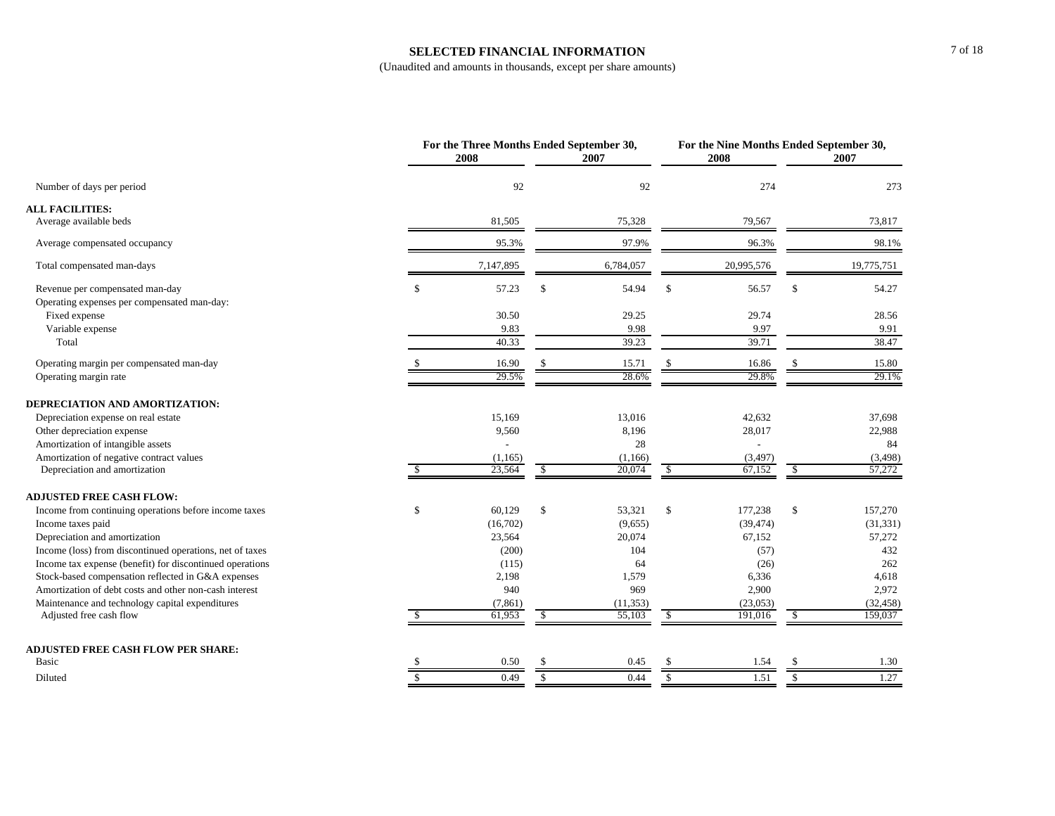#### **SELECTED FINANCIAL INFORMATION**

|                                                                                |    | For the Three Months Ended September 30,<br>2008 |               | 2007      |               | 2008                     | For the Nine Months Ended September 30,<br>2007 |            |  |
|--------------------------------------------------------------------------------|----|--------------------------------------------------|---------------|-----------|---------------|--------------------------|-------------------------------------------------|------------|--|
| Number of days per period                                                      |    | 92                                               |               | 92        |               | 274                      |                                                 | 273        |  |
| <b>ALL FACILITIES:</b>                                                         |    |                                                  |               |           |               |                          |                                                 |            |  |
| Average available beds                                                         |    | 81,505                                           |               | 75,328    |               | 79,567                   |                                                 | 73,817     |  |
| Average compensated occupancy                                                  |    | 95.3%                                            |               | 97.9%     |               | 96.3%                    |                                                 | 98.1%      |  |
| Total compensated man-days                                                     |    | 7,147,895                                        |               | 6,784,057 |               | 20,995,576               |                                                 | 19,775,751 |  |
| Revenue per compensated man-day<br>Operating expenses per compensated man-day: | \$ | 57.23                                            | $\mathcal{S}$ | 54.94     | $\mathcal{S}$ | 56.57                    | $\mathcal{S}$                                   | 54.27      |  |
| Fixed expense                                                                  |    | 30.50                                            |               | 29.25     |               | 29.74                    |                                                 | 28.56      |  |
| Variable expense                                                               |    | 9.83                                             |               | 9.98      |               | 9.97                     |                                                 | 9.91       |  |
| Total                                                                          |    | 40.33                                            |               | 39.23     |               | 39.71                    |                                                 | 38.47      |  |
| Operating margin per compensated man-day                                       |    | 16.90                                            | <sup>\$</sup> | 15.71     | <sup>\$</sup> | 16.86                    | \$                                              | 15.80      |  |
| Operating margin rate                                                          |    | 29.5%                                            |               | 28.6%     |               | 29.8%                    |                                                 | 29.1%      |  |
| DEPRECIATION AND AMORTIZATION:                                                 |    |                                                  |               |           |               |                          |                                                 |            |  |
| Depreciation expense on real estate                                            |    | 15,169                                           |               | 13,016    |               | 42,632                   |                                                 | 37,698     |  |
| Other depreciation expense                                                     |    | 9,560                                            |               | 8,196     |               | 28,017                   |                                                 | 22,988     |  |
| Amortization of intangible assets                                              |    |                                                  |               | 28        |               | $\overline{\phantom{a}}$ |                                                 | 84         |  |
| Amortization of negative contract values                                       |    | (1,165)                                          |               | (1,166)   |               | (3, 497)                 |                                                 | (3, 498)   |  |
| Depreciation and amortization                                                  | \$ | 23,564                                           | $\mathbb{S}$  | 20,074    | -S            | 67,152                   | <sup>\$</sup>                                   | 57,272     |  |
| <b>ADJUSTED FREE CASH FLOW:</b>                                                |    |                                                  |               |           |               |                          |                                                 |            |  |
| Income from continuing operations before income taxes                          | \$ | 60,129                                           | \$            | 53,321    | \$            | 177,238                  | \$                                              | 157,270    |  |
| Income taxes paid                                                              |    | (16,702)                                         |               | (9,655)   |               | (39, 474)                |                                                 | (31, 331)  |  |
| Depreciation and amortization                                                  |    | 23,564                                           |               | 20,074    |               | 67,152                   |                                                 | 57,272     |  |
| Income (loss) from discontinued operations, net of taxes                       |    | (200)                                            |               | 104       |               | (57)                     |                                                 | 432        |  |
| Income tax expense (benefit) for discontinued operations                       |    | (115)                                            |               | 64        |               | (26)                     |                                                 | 262        |  |
| Stock-based compensation reflected in G&A expenses                             |    | 2,198                                            |               | 1,579     |               | 6,336                    |                                                 | 4,618      |  |
| Amortization of debt costs and other non-cash interest                         |    | 940                                              |               | 969       |               | 2,900                    |                                                 | 2,972      |  |
| Maintenance and technology capital expenditures                                |    | (7, 861)                                         |               | (11, 353) |               | (23,053)                 |                                                 | (32, 458)  |  |
| Adjusted free cash flow                                                        | -S | 61,953                                           | <sup>\$</sup> | 55,103    | -S            | 191,016                  | S.                                              | 159,037    |  |
| <b>ADJUSTED FREE CASH FLOW PER SHARE:</b>                                      |    |                                                  |               |           |               |                          |                                                 |            |  |
| Basic                                                                          |    | 0.50                                             |               | 0.45      |               | 1.54                     | S                                               | 1.30       |  |
| Diluted                                                                        | \$ | 0.49                                             | \$            | 0.44      | $\mathbb{S}$  | 1.51                     | \$                                              | 1.27       |  |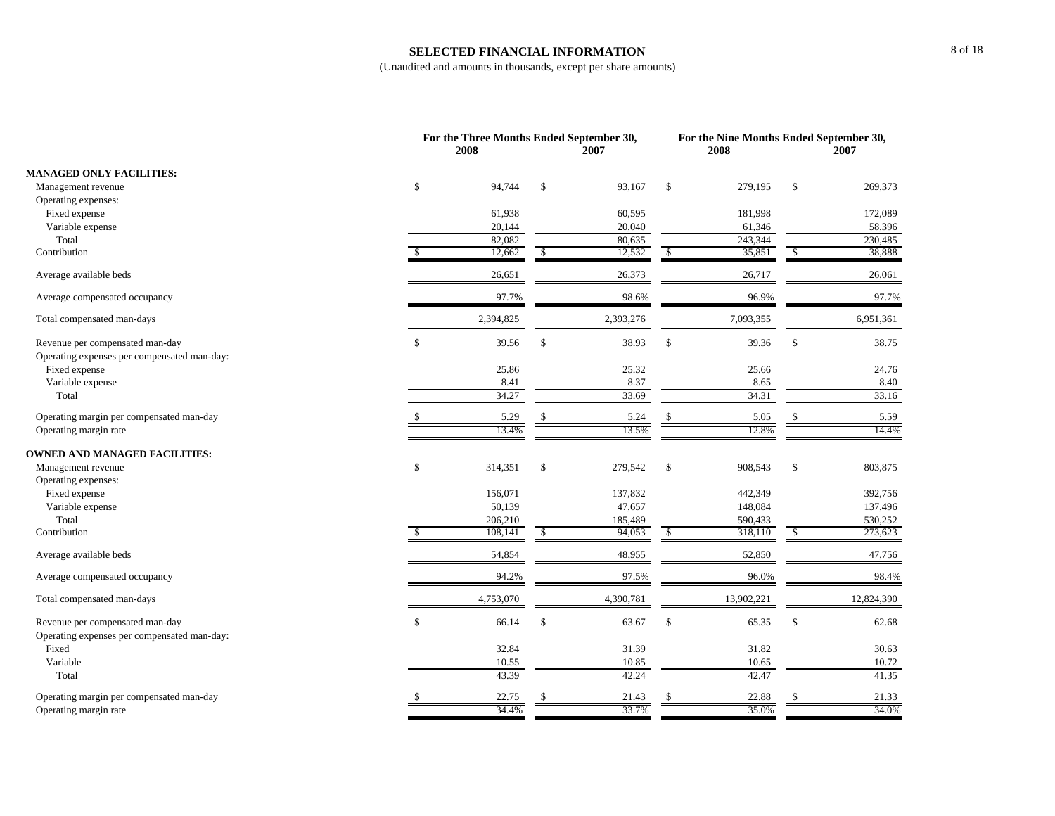#### **SELECTED FINANCIAL INFORMATION**

|                                                                                |              | For the Three Months Ended September 30,<br>2008 | 2007         |           | 2008          | For the Nine Months Ended September 30,<br>2007 |               |            |
|--------------------------------------------------------------------------------|--------------|--------------------------------------------------|--------------|-----------|---------------|-------------------------------------------------|---------------|------------|
| <b>MANAGED ONLY FACILITIES:</b>                                                |              |                                                  |              |           |               |                                                 |               |            |
| Management revenue                                                             | \$           | 94,744                                           | $\mathbb{S}$ | 93,167    | \$            | 279,195                                         | \$            | 269,373    |
| Operating expenses:                                                            |              |                                                  |              |           |               |                                                 |               |            |
| Fixed expense                                                                  |              | 61,938                                           |              | 60,595    |               | 181,998                                         |               | 172,089    |
| Variable expense                                                               |              | 20,144                                           |              | 20,040    |               | 61,346                                          |               | 58,396     |
| Total                                                                          |              | 82,082                                           |              | 80,635    |               | 243,344                                         |               | 230,485    |
| Contribution                                                                   | \$.          | 12,662                                           | $\mathbb{S}$ | 12,532    | $\mathbb{S}$  | 35,851                                          | $\mathcal{S}$ | 38,888     |
| Average available beds                                                         |              | 26,651                                           |              | 26,373    |               | 26,717                                          |               | 26,061     |
| Average compensated occupancy                                                  |              | 97.7%                                            |              | 98.6%     |               | 96.9%                                           |               | 97.7%      |
| Total compensated man-days                                                     |              | 2,394,825                                        |              | 2,393,276 |               | 7,093,355                                       |               | 6,951,361  |
| Revenue per compensated man-day<br>Operating expenses per compensated man-day: | $\mathbb{S}$ | 39.56                                            | $\mathbb{S}$ | 38.93     | $\mathbf S$   | 39.36                                           | \$            | 38.75      |
| Fixed expense                                                                  |              | 25.86                                            |              | 25.32     |               | 25.66                                           |               | 24.76      |
| Variable expense                                                               |              | 8.41                                             |              | 8.37      |               | 8.65                                            |               | 8.40       |
| Total                                                                          |              | 34.27                                            |              | 33.69     |               | 34.31                                           |               | 33.16      |
|                                                                                |              |                                                  |              |           |               |                                                 |               |            |
| Operating margin per compensated man-day                                       |              | 5.29                                             | $\mathbb{S}$ | 5.24      |               | 5.05                                            | \$            | 5.59       |
| Operating margin rate                                                          |              | 13.4%                                            |              | 13.5%     |               | 12.8%                                           |               | 14.4%      |
| <b>OWNED AND MANAGED FACILITIES:</b>                                           |              |                                                  |              |           |               |                                                 |               |            |
| Management revenue                                                             | \$           | 314,351                                          | \$           | 279,542   | $\mathcal{S}$ | 908,543                                         | $\mathbb{S}$  | 803,875    |
| Operating expenses:                                                            |              |                                                  |              |           |               |                                                 |               |            |
| Fixed expense                                                                  |              | 156,071                                          |              | 137,832   |               | 442,349                                         |               | 392,756    |
| Variable expense                                                               |              | 50,139                                           |              | 47,657    |               | 148,084                                         |               | 137,496    |
| Total                                                                          |              | 206,210                                          |              | 185,489   |               | 590,433                                         |               | 530,252    |
| Contribution                                                                   |              | 108,141                                          | $\mathbb{S}$ | 94,053    | \$            | 318,110                                         | $\mathcal{S}$ | 273,623    |
| Average available beds                                                         |              | 54,854                                           |              | 48,955    |               | 52,850                                          |               | 47,756     |
| Average compensated occupancy                                                  |              | 94.2%                                            |              | 97.5%     |               | 96.0%                                           |               | 98.4%      |
| Total compensated man-days                                                     |              | 4,753,070                                        |              | 4,390,781 |               | 13,902,221                                      |               | 12,824,390 |
| Revenue per compensated man-day                                                | \$           | 66.14                                            | \$           | 63.67     | \$            | 65.35                                           | \$            | 62.68      |
| Operating expenses per compensated man-day:                                    |              |                                                  |              |           |               |                                                 |               |            |
| Fixed                                                                          |              | 32.84                                            |              | 31.39     |               | 31.82                                           |               | 30.63      |
| Variable                                                                       |              | 10.55                                            |              | 10.85     |               | 10.65                                           |               | 10.72      |
| Total                                                                          |              | 43.39                                            |              | 42.24     |               | 42.47                                           |               | 41.35      |
| Operating margin per compensated man-day                                       |              | 22.75                                            | S            | 21.43     |               | 22.88                                           | <sup>\$</sup> | 21.33      |
| Operating margin rate                                                          |              | 34.4%                                            |              | 33.7%     |               | 35.0%                                           |               | 34.0%      |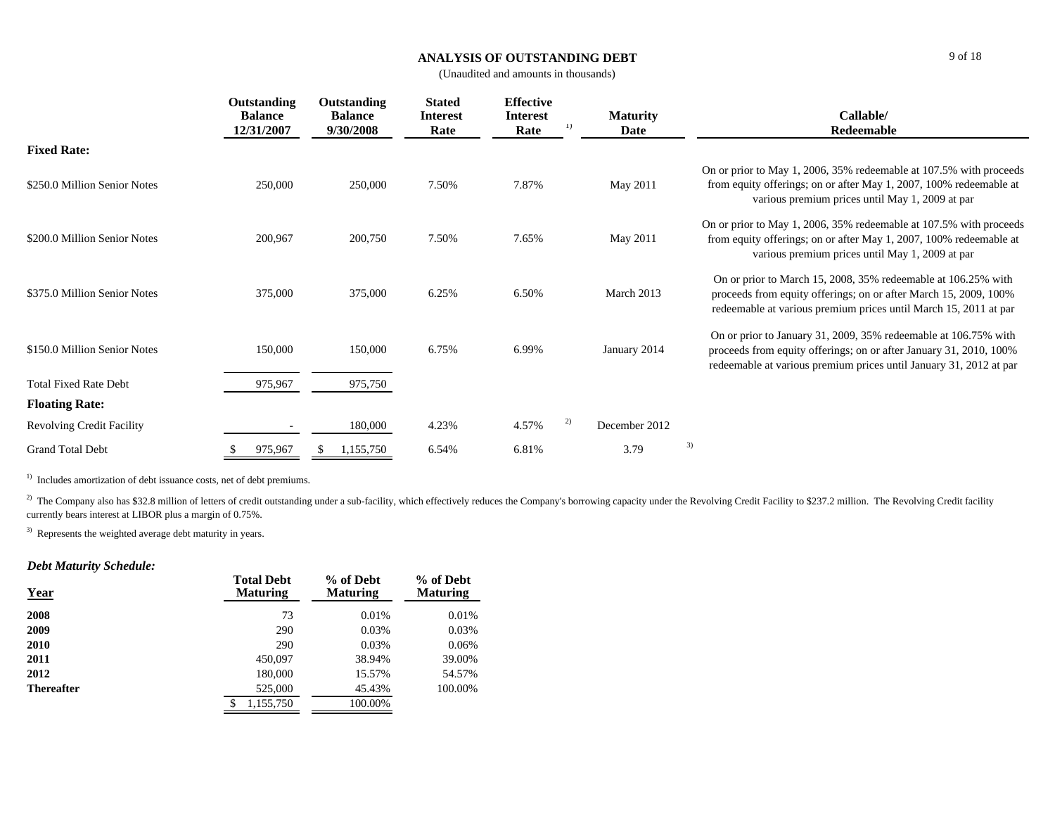#### **ANALYSIS OF OUTSTANDING DEBT**

(Unaudited and amounts in thousands)

|                                  | Outstanding<br><b>Balance</b><br>12/31/2007 | Outstanding<br><b>Balance</b><br>9/30/2008 | <b>Stated</b><br><b>Interest</b><br>Rate | <b>Effective</b><br><b>Interest</b><br>Rate | 1) | <b>Maturity</b><br>Date |    | Callable/<br>Redeemable                                                                                                                                                                                     |
|----------------------------------|---------------------------------------------|--------------------------------------------|------------------------------------------|---------------------------------------------|----|-------------------------|----|-------------------------------------------------------------------------------------------------------------------------------------------------------------------------------------------------------------|
| <b>Fixed Rate:</b>               |                                             |                                            |                                          |                                             |    |                         |    |                                                                                                                                                                                                             |
| \$250.0 Million Senior Notes     | 250,000                                     | 250,000                                    | 7.50%                                    | 7.87%                                       |    | May 2011                |    | On or prior to May 1, 2006, 35% redeemable at 107.5% with proceeds<br>from equity offerings; on or after May 1, 2007, 100% redeemable at<br>various premium prices until May 1, 2009 at par                 |
| \$200.0 Million Senior Notes     | 200,967                                     | 200,750                                    | 7.50%                                    | 7.65%                                       |    | May 2011                |    | On or prior to May 1, 2006, 35% redeemable at 107.5% with proceeds<br>from equity offerings; on or after May 1, 2007, 100% redeemable at<br>various premium prices until May 1, 2009 at par                 |
| \$375.0 Million Senior Notes     | 375,000                                     | 375,000                                    | 6.25%                                    | 6.50%                                       |    | March 2013              |    | On or prior to March 15, 2008, 35% redeemable at 106.25% with<br>proceeds from equity offerings; on or after March 15, 2009, 100%<br>redeemable at various premium prices until March 15, 2011 at par       |
| \$150.0 Million Senior Notes     | 150,000                                     | 150,000                                    | 6.75%                                    | 6.99%                                       |    | January 2014            |    | On or prior to January 31, 2009, 35% redeemable at 106.75% with<br>proceeds from equity offerings; on or after January 31, 2010, 100%<br>redeemable at various premium prices until January 31, 2012 at par |
| <b>Total Fixed Rate Debt</b>     | 975,967                                     | 975,750                                    |                                          |                                             |    |                         |    |                                                                                                                                                                                                             |
| <b>Floating Rate:</b>            |                                             |                                            |                                          |                                             |    |                         |    |                                                                                                                                                                                                             |
| <b>Revolving Credit Facility</b> |                                             | 180,000                                    | 4.23%                                    | 4.57%                                       | 2) | December 2012           |    |                                                                                                                                                                                                             |
| <b>Grand Total Debt</b>          | 975,967                                     | 1,155,750                                  | 6.54%                                    | 6.81%                                       |    | 3.79                    | 3) |                                                                                                                                                                                                             |

<sup>1)</sup> Includes amortization of debt issuance costs, net of debt premiums.

<sup>2)</sup> The Company also has \$32.8 million of letters of credit outstanding under a sub-facility, which effectively reduces the Company's borrowing capacity under the Revolving Credit Facility to \$237.2 million. The Revolving currently bears interest at LIBOR plus a margin of 0.75%.

<sup>3)</sup> Represents the weighted average debt maturity in years.

### *Debt Maturity Schedule:*

| <b>Year</b>       | <b>Total Debt</b><br><b>Maturing</b> | % of Debt<br><b>Maturing</b> | % of Debt<br><b>Maturing</b> |
|-------------------|--------------------------------------|------------------------------|------------------------------|
| 2008              | 73                                   | 0.01%                        | 0.01%                        |
| 2009              | 290                                  | 0.03%                        | 0.03%                        |
| 2010              | 290                                  | 0.03%                        | 0.06%                        |
| 2011              | 450,097                              | 38.94%                       | 39.00%                       |
| 2012              | 180,000                              | 15.57%                       | 54.57%                       |
| <b>Thereafter</b> | 525,000                              | 45.43%                       | 100.00%                      |
|                   | 1.155.750                            | 100.00%                      |                              |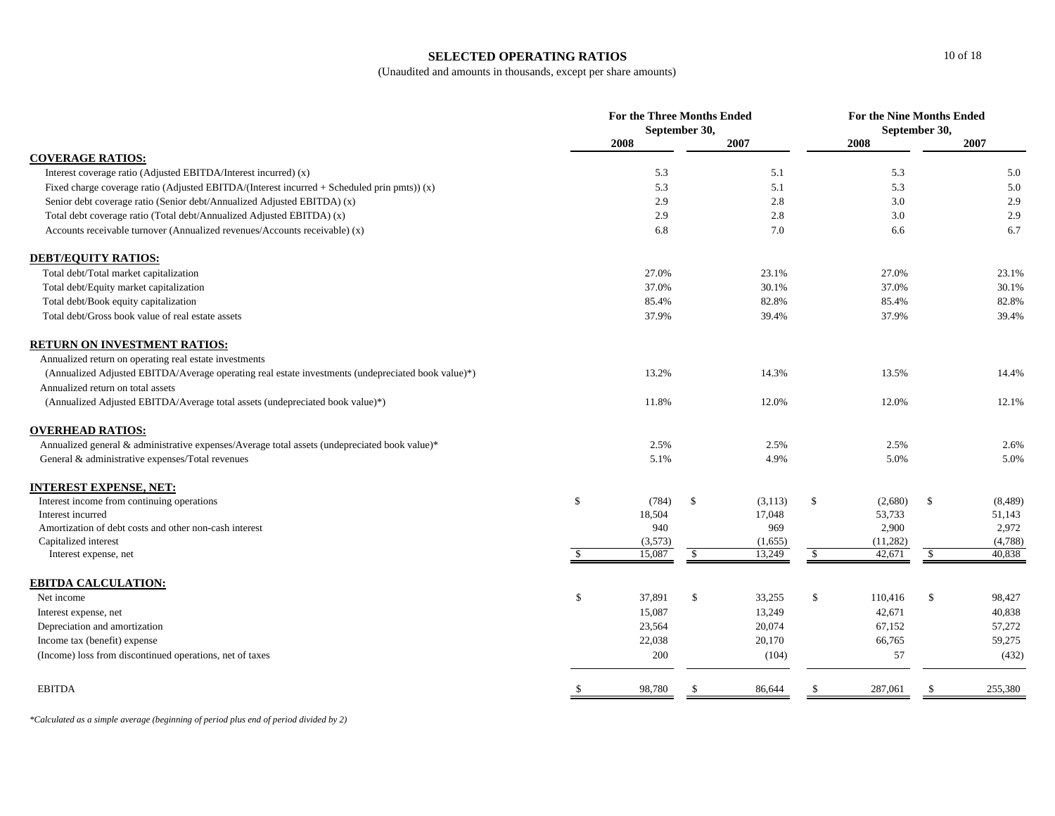#### **SELECTED OPERATING RATIOS**

(Unaudited and amounts in thousands, except per share amounts)

|                                                                                                    | <b>For the Three Months Ended</b><br>September 30, |         |               |         |               | <b>For the Nine Months Ended</b><br>September 30, |              |         |  |
|----------------------------------------------------------------------------------------------------|----------------------------------------------------|---------|---------------|---------|---------------|---------------------------------------------------|--------------|---------|--|
|                                                                                                    |                                                    | 2008    |               | 2007    |               | 2008                                              |              | 2007    |  |
| <b>COVERAGE RATIOS:</b>                                                                            |                                                    |         |               |         |               |                                                   |              |         |  |
| Interest coverage ratio (Adjusted EBITDA/Interest incurred) (x)                                    |                                                    | 5.3     |               | 5.1     |               | 5.3                                               |              | 5.0     |  |
| Fixed charge coverage ratio (Adjusted EBITDA/(Interest incurred + Scheduled prin pmts)) (x)        |                                                    | 5.3     |               | 5.1     |               | 5.3                                               |              | 5.0     |  |
| Senior debt coverage ratio (Senior debt/Annualized Adjusted EBITDA) (x)                            |                                                    | 2.9     |               | 2.8     |               | 3.0                                               |              | 2.9     |  |
| Total debt coverage ratio (Total debt/Annualized Adjusted EBITDA) (x)                              |                                                    | 2.9     |               | 2.8     |               | 3.0                                               |              | 2.9     |  |
| Accounts receivable turnover (Annualized revenues/Accounts receivable) (x)                         |                                                    | 6.8     |               | 7.0     |               | 6.6                                               |              | 6.7     |  |
| <b>DEBT/EQUITY RATIOS:</b>                                                                         |                                                    |         |               |         |               |                                                   |              |         |  |
| Total debt/Total market capitalization                                                             |                                                    | 27.0%   |               | 23.1%   |               | 27.0%                                             |              | 23.1%   |  |
| Total debt/Equity market capitalization                                                            |                                                    | 37.0%   |               | 30.1%   |               | 37.0%                                             |              | 30.1%   |  |
| Total debt/Book equity capitalization                                                              |                                                    | 85.4%   |               | 82.8%   |               | 85.4%                                             |              | 82.8%   |  |
| Total debt/Gross book value of real estate assets                                                  |                                                    | 37.9%   |               | 39.4%   |               | 37.9%                                             |              | 39.4%   |  |
| <b>RETURN ON INVESTMENT RATIOS:</b>                                                                |                                                    |         |               |         |               |                                                   |              |         |  |
| Annualized return on operating real estate investments                                             |                                                    |         |               |         |               |                                                   |              |         |  |
| (Annualized Adjusted EBITDA/Average operating real estate investments (undepreciated book value)*) |                                                    | 13.2%   |               | 14.3%   |               | 13.5%                                             |              | 14.4%   |  |
| Annualized return on total assets                                                                  |                                                    |         |               |         |               |                                                   |              |         |  |
| (Annualized Adjusted EBITDA/Average total assets (undepreciated book value)*)                      |                                                    | 11.8%   |               | 12.0%   |               | 12.0%                                             |              | 12.1%   |  |
| <b>OVERHEAD RATIOS:</b>                                                                            |                                                    |         |               |         |               |                                                   |              |         |  |
| Annualized general & administrative expenses/Average total assets (undepreciated book value)*      |                                                    | 2.5%    |               | 2.5%    |               | 2.5%                                              |              | 2.6%    |  |
| General & administrative expenses/Total revenues                                                   |                                                    | 5.1%    |               | 4.9%    |               | 5.0%                                              |              | 5.0%    |  |
| <b>INTEREST EXPENSE, NET:</b>                                                                      |                                                    |         |               |         |               |                                                   |              |         |  |
| Interest income from continuing operations                                                         | \$                                                 | (784)   | $\mathcal{S}$ | (3,113) | $\mathcal{S}$ | (2,680)                                           | $\mathbb{S}$ | (8,489) |  |
| Interest incurred                                                                                  |                                                    | 18,504  |               | 17,048  |               | 53,733                                            |              | 51,143  |  |
| Amortization of debt costs and other non-cash interest                                             |                                                    | 940     |               | 969     |               | 2,900                                             |              | 2,972   |  |
| Capitalized interest                                                                               |                                                    | (3,573) |               | (1,655) |               | (11,282)                                          |              | (4,788) |  |
| Interest expense, net                                                                              | <sup>S</sup>                                       | 15,087  | $\mathcal{S}$ | 13,249  | $\mathbb{S}$  | 42,671                                            | \$           | 40,838  |  |
| <b>EBITDA CALCULATION:</b>                                                                         |                                                    |         |               |         |               |                                                   |              |         |  |
| Net income                                                                                         | \$                                                 | 37,891  | \$            | 33,255  | \$            | 110,416                                           | \$           | 98,427  |  |
| Interest expense, net                                                                              |                                                    | 15,087  |               | 13,249  |               | 42,671                                            |              | 40,838  |  |
| Depreciation and amortization                                                                      |                                                    | 23,564  |               | 20,074  |               | 67,152                                            |              | 57,272  |  |
| Income tax (benefit) expense                                                                       |                                                    | 22,038  |               | 20,170  |               | 66,765                                            |              | 59,275  |  |
| (Income) loss from discontinued operations, net of taxes                                           |                                                    | 200     |               | (104)   |               | 57                                                |              | (432)   |  |
| <b>EBITDA</b>                                                                                      |                                                    | 98,780  |               | 86,644  |               | 287,061                                           | -S           | 255,380 |  |
|                                                                                                    |                                                    |         |               |         |               |                                                   |              |         |  |

*\*Calculated as a simple average (beginning of period plus end of period divided by 2)*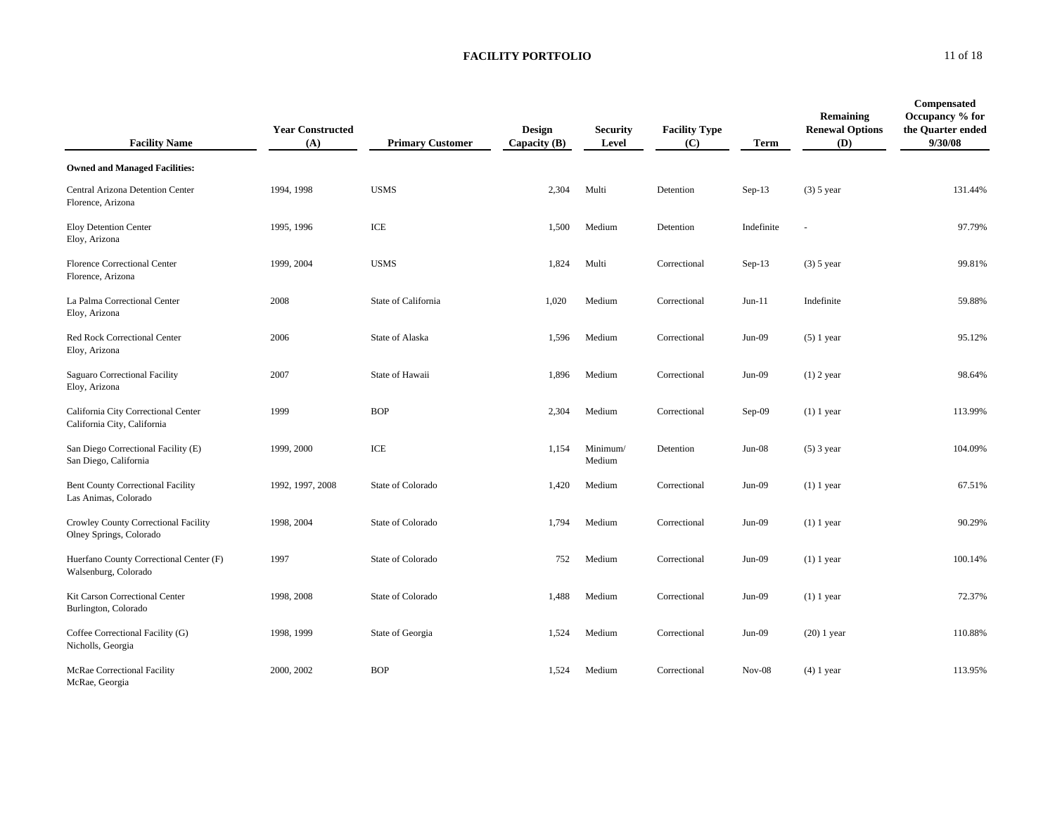| <b>Facility Name</b>                                               | <b>Year Constructed</b><br>(A) | <b>Primary Customer</b> | Design<br>Capacity $(B)$ | <b>Security</b><br>Level | <b>Facility Type</b><br>(C) | Term       | Remaining<br><b>Renewal Options</b><br>(D) | Compensated<br>Occupancy % for<br>the Quarter ended<br>9/30/08 |
|--------------------------------------------------------------------|--------------------------------|-------------------------|--------------------------|--------------------------|-----------------------------|------------|--------------------------------------------|----------------------------------------------------------------|
| <b>Owned and Managed Facilities:</b>                               |                                |                         |                          |                          |                             |            |                                            |                                                                |
| Central Arizona Detention Center<br>Florence, Arizona              | 1994, 1998                     | <b>USMS</b>             | 2,304                    | Multi                    | Detention                   | $Sep-13$   | $(3)$ 5 year                               | 131.44%                                                        |
| <b>Eloy Detention Center</b><br>Eloy, Arizona                      | 1995, 1996                     | ICE                     | 1,500                    | Medium                   | Detention                   | Indefinite | ä,                                         | 97.79%                                                         |
| Florence Correctional Center<br>Florence, Arizona                  | 1999, 2004                     | <b>USMS</b>             | 1,824                    | Multi                    | Correctional                | $Sep-13$   | $(3)$ 5 year                               | 99.81%                                                         |
| La Palma Correctional Center<br>Eloy, Arizona                      | 2008                           | State of California     | 1,020                    | Medium                   | Correctional                | $Jun-11$   | Indefinite                                 | 59.88%                                                         |
| Red Rock Correctional Center<br>Eloy, Arizona                      | 2006                           | State of Alaska         | 1,596                    | Medium                   | Correctional                | $Jun-09$   | $(5)$ 1 year                               | 95.12%                                                         |
| Saguaro Correctional Facility<br>Eloy, Arizona                     | 2007                           | State of Hawaii         | 1,896                    | Medium                   | Correctional                | $Jun-09$   | $(1)$ 2 year                               | 98.64%                                                         |
| California City Correctional Center<br>California City, California | 1999                           | <b>BOP</b>              | 2,304                    | Medium                   | Correctional                | Sep-09     | $(1)$ 1 year                               | 113.99%                                                        |
| San Diego Correctional Facility (E)<br>San Diego, California       | 1999, 2000                     | ICE                     | 1,154                    | Minimum/<br>Medium       | Detention                   | $Jun-08$   | $(5)$ 3 year                               | 104.09%                                                        |
| <b>Bent County Correctional Facility</b><br>Las Animas, Colorado   | 1992, 1997, 2008               | State of Colorado       | 1,420                    | Medium                   | Correctional                | $Jun-09$   | $(1)$ 1 year                               | 67.51%                                                         |
| Crowley County Correctional Facility<br>Olney Springs, Colorado    | 1998, 2004                     | State of Colorado       | 1,794                    | Medium                   | Correctional                | $Jun-09$   | $(1)$ 1 year                               | 90.29%                                                         |
| Huerfano County Correctional Center (F)<br>Walsenburg, Colorado    | 1997                           | State of Colorado       | 752                      | Medium                   | Correctional                | Jun-09     | $(1)$ 1 year                               | 100.14%                                                        |
| Kit Carson Correctional Center<br>Burlington, Colorado             | 1998, 2008                     | State of Colorado       | 1,488                    | Medium                   | Correctional                | $Jun-09$   | $(1)$ 1 year                               | 72.37%                                                         |
| Coffee Correctional Facility (G)<br>Nicholls, Georgia              | 1998, 1999                     | State of Georgia        | 1,524                    | Medium                   | Correctional                | $Jun-09$   | $(20)$ 1 year                              | 110.88%                                                        |
| McRae Correctional Facility<br>McRae, Georgia                      | 2000, 2002                     | <b>BOP</b>              | 1,524                    | Medium                   | Correctional                | $Nov-08$   | $(4)$ 1 year                               | 113.95%                                                        |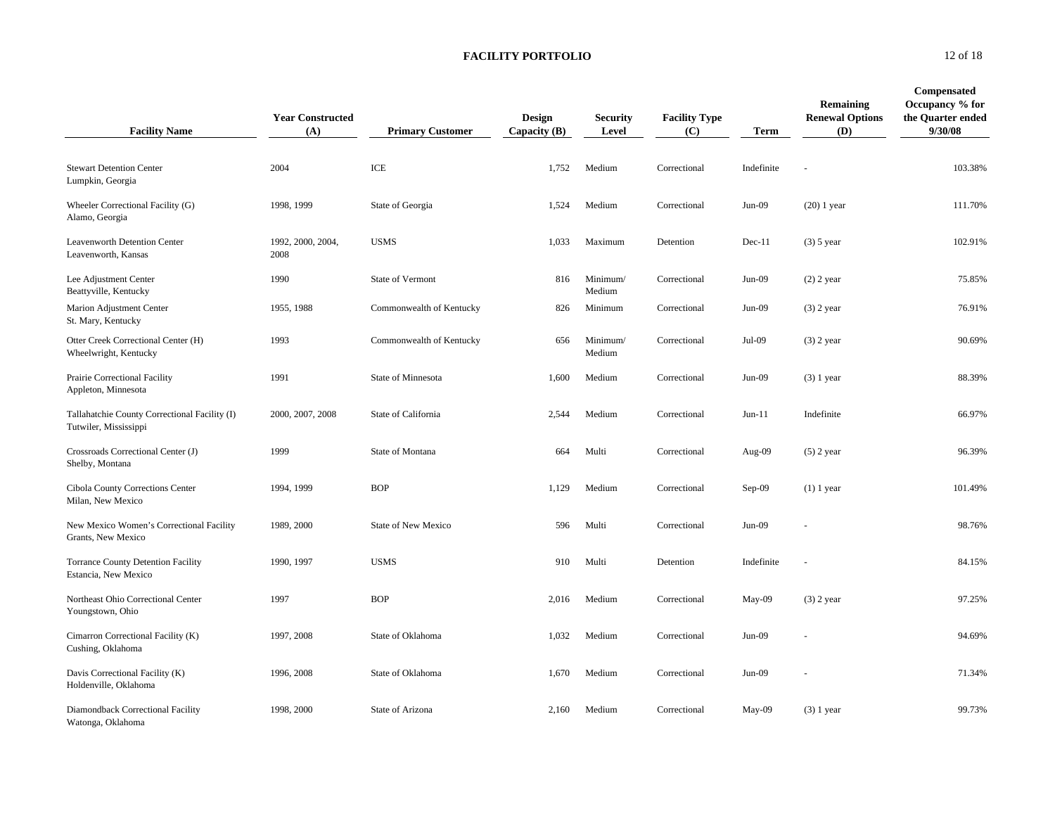| <b>Facility Name</b>                                                   | <b>Year Constructed</b><br>(A) | <b>Primary Customer</b>    | Design<br>Capacity $(B)$ | <b>Security</b><br>Level | <b>Facility Type</b><br>(C) | <b>Term</b> | <b>Remaining</b><br><b>Renewal Options</b><br>(D) | Compensated<br>Occupancy % for<br>the Quarter ended<br>9/30/08 |
|------------------------------------------------------------------------|--------------------------------|----------------------------|--------------------------|--------------------------|-----------------------------|-------------|---------------------------------------------------|----------------------------------------------------------------|
| <b>Stewart Detention Center</b><br>Lumpkin, Georgia                    | 2004                           | ICE                        | 1,752                    | Medium                   | Correctional                | Indefinite  | ä,                                                | 103.38%                                                        |
| Wheeler Correctional Facility (G)<br>Alamo, Georgia                    | 1998, 1999                     | State of Georgia           | 1,524                    | Medium                   | Correctional                | $Jun-09$    | $(20)$ 1 year                                     | 111.70%                                                        |
| Leavenworth Detention Center<br>Leavenworth, Kansas                    | 1992, 2000, 2004,<br>2008      | <b>USMS</b>                | 1,033                    | Maximum                  | Detention                   | $Dec-11$    | $(3)$ 5 year                                      | 102.91%                                                        |
| Lee Adjustment Center<br>Beattyville, Kentucky                         | 1990                           | State of Vermont           | 816                      | Minimum/<br>Medium       | Correctional                | $Jun-09$    | $(2)$ 2 year                                      | 75.85%                                                         |
| Marion Adjustment Center<br>St. Mary, Kentucky                         | 1955, 1988                     | Commonwealth of Kentucky   | 826                      | Minimum                  | Correctional                | $Jun-09$    | $(3)$ 2 year                                      | 76.91%                                                         |
| Otter Creek Correctional Center (H)<br>Wheelwright, Kentucky           | 1993                           | Commonwealth of Kentucky   | 656                      | Minimum/<br>Medium       | Correctional                | Jul-09      | $(3)$ 2 year                                      | 90.69%                                                         |
| Prairie Correctional Facility<br>Appleton, Minnesota                   | 1991                           | State of Minnesota         | 1,600                    | Medium                   | Correctional                | $Jun-09$    | $(3)$ 1 year                                      | 88.39%                                                         |
| Tallahatchie County Correctional Facility (I)<br>Tutwiler, Mississippi | 2000, 2007, 2008               | State of California        | 2,544                    | Medium                   | Correctional                | $Jun-11$    | Indefinite                                        | 66.97%                                                         |
| Crossroads Correctional Center (J)<br>Shelby, Montana                  | 1999                           | State of Montana           | 664                      | Multi                    | Correctional                | Aug-09      | $(5)$ 2 year                                      | 96.39%                                                         |
| Cibola County Corrections Center<br>Milan, New Mexico                  | 1994, 1999                     | <b>BOP</b>                 | 1,129                    | Medium                   | Correctional                | $Sep-09$    | $(1)$ 1 year                                      | 101.49%                                                        |
| New Mexico Women's Correctional Facility<br>Grants, New Mexico         | 1989, 2000                     | <b>State of New Mexico</b> | 596                      | Multi                    | Correctional                | $Jun-09$    |                                                   | 98.76%                                                         |
| <b>Torrance County Detention Facility</b><br>Estancia, New Mexico      | 1990, 1997                     | <b>USMS</b>                | 910                      | Multi                    | Detention                   | Indefinite  | ä,                                                | 84.15%                                                         |
| Northeast Ohio Correctional Center<br>Youngstown, Ohio                 | 1997                           | <b>BOP</b>                 | 2,016                    | Medium                   | Correctional                | May-09      | $(3)$ 2 year                                      | 97.25%                                                         |
| Cimarron Correctional Facility (K)<br>Cushing, Oklahoma                | 1997, 2008                     | State of Oklahoma          | 1,032                    | Medium                   | Correctional                | $Jun-09$    |                                                   | 94.69%                                                         |
| Davis Correctional Facility (K)<br>Holdenville, Oklahoma               | 1996, 2008                     | State of Oklahoma          | 1,670                    | Medium                   | Correctional                | $Jun-09$    |                                                   | 71.34%                                                         |
| Diamondback Correctional Facility<br>Watonga, Oklahoma                 | 1998, 2000                     | State of Arizona           | 2,160                    | Medium                   | Correctional                | $May-09$    | $(3)$ 1 year                                      | 99.73%                                                         |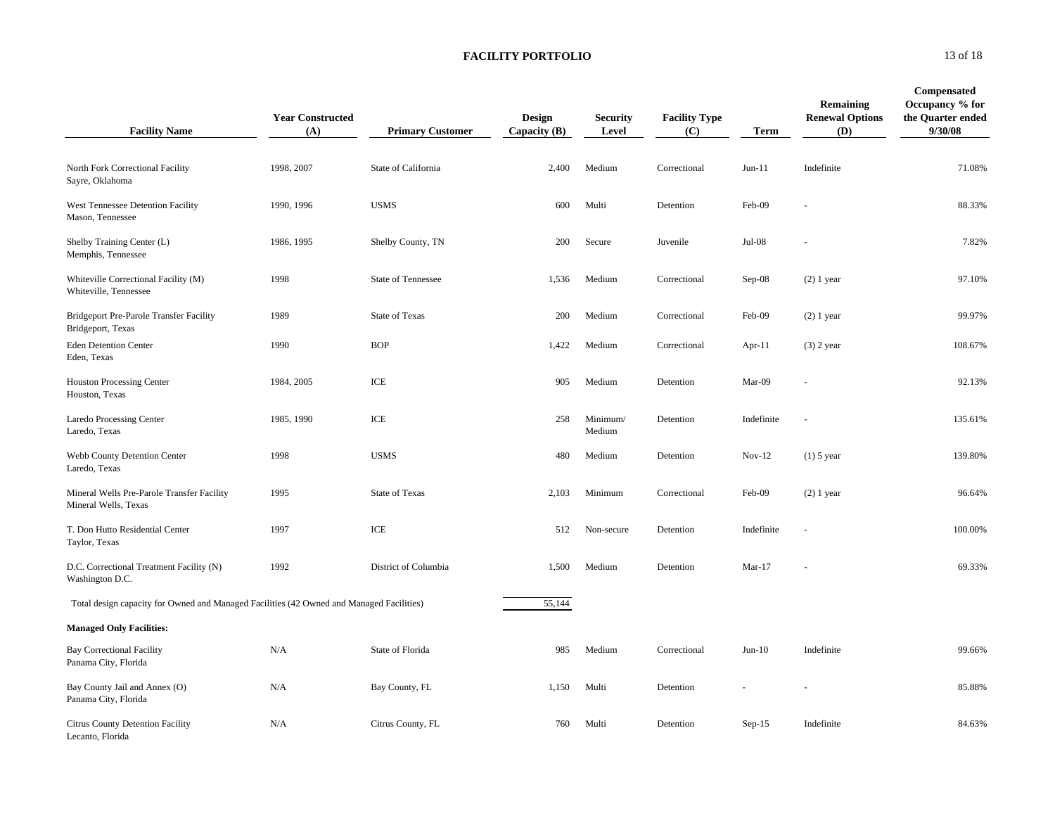| <b>Facility Name</b>                                                                     | <b>Year Constructed</b><br>(A) | <b>Primary Customer</b>   | <b>Design</b><br>Capacity (B) | <b>Security</b><br>Level | <b>Facility Type</b><br>(C) | Term       | <b>Remaining</b><br><b>Renewal Options</b><br>(D) | Compensated<br>Occupancy % for<br>the Quarter ended<br>9/30/08 |
|------------------------------------------------------------------------------------------|--------------------------------|---------------------------|-------------------------------|--------------------------|-----------------------------|------------|---------------------------------------------------|----------------------------------------------------------------|
| North Fork Correctional Facility<br>Sayre, Oklahoma                                      | 1998, 2007                     | State of California       | 2,400                         | Medium                   | Correctional                | $Jun-11$   | Indefinite                                        | 71.08%                                                         |
| West Tennessee Detention Facility<br>Mason, Tennessee                                    | 1990, 1996                     | <b>USMS</b>               | 600                           | Multi                    | Detention                   | Feb-09     |                                                   | 88.33%                                                         |
| Shelby Training Center (L)<br>Memphis, Tennessee                                         | 1986, 1995                     | Shelby County, TN         | 200                           | Secure                   | Juvenile                    | $Jul-08$   |                                                   | 7.82%                                                          |
| Whiteville Correctional Facility (M)<br>Whiteville, Tennessee                            | 1998                           | <b>State of Tennessee</b> | 1,536                         | Medium                   | Correctional                | $Sep-08$   | $(2)$ 1 year                                      | 97.10%                                                         |
| Bridgeport Pre-Parole Transfer Facility<br>Bridgeport, Texas                             | 1989                           | <b>State of Texas</b>     | 200                           | Medium                   | Correctional                | Feb-09     | $(2)$ 1 year                                      | 99.97%                                                         |
| <b>Eden Detention Center</b><br>Eden, Texas                                              | 1990                           | <b>BOP</b>                | 1,422                         | Medium                   | Correctional                | Apr-11     | $(3)$ 2 year                                      | 108.67%                                                        |
| <b>Houston Processing Center</b><br>Houston, Texas                                       | 1984, 2005                     | ICE                       | 905                           | Medium                   | Detention                   | Mar-09     |                                                   | 92.13%                                                         |
| Laredo Processing Center<br>Laredo, Texas                                                | 1985, 1990                     | ICE                       | 258                           | Minimum/<br>Medium       | Detention                   | Indefinite |                                                   | 135.61%                                                        |
| Webb County Detention Center<br>Laredo, Texas                                            | 1998                           | <b>USMS</b>               | 480                           | Medium                   | Detention                   | $Nov-12$   | $(1)$ 5 year                                      | 139.80%                                                        |
| Mineral Wells Pre-Parole Transfer Facility<br>Mineral Wells, Texas                       | 1995                           | State of Texas            | 2,103                         | Minimum                  | Correctional                | Feb-09     | $(2)$ 1 year                                      | 96.64%                                                         |
| T. Don Hutto Residential Center<br>Taylor, Texas                                         | 1997                           | ICE                       | 512                           | Non-secure               | Detention                   | Indefinite |                                                   | 100.00%                                                        |
| D.C. Correctional Treatment Facility (N)<br>Washington D.C.                              | 1992                           | District of Columbia      | 1,500                         | Medium                   | Detention                   | $Mar-17$   | Ĭ.                                                | 69.33%                                                         |
| Total design capacity for Owned and Managed Facilities (42 Owned and Managed Facilities) |                                |                           | 55,144                        |                          |                             |            |                                                   |                                                                |
| <b>Managed Only Facilities:</b>                                                          |                                |                           |                               |                          |                             |            |                                                   |                                                                |
| <b>Bay Correctional Facility</b><br>Panama City, Florida                                 | $\rm N/A$                      | State of Florida          | 985                           | Medium                   | Correctional                | $Jun-10$   | Indefinite                                        | 99.66%                                                         |
| Bay County Jail and Annex (O)<br>Panama City, Florida                                    | N/A                            | Bay County, FL            | 1,150                         | Multi                    | Detention                   |            |                                                   | 85.88%                                                         |
| Citrus County Detention Facility<br>Lecanto, Florida                                     | N/A                            | Citrus County, FL         | 760                           | Multi                    | Detention                   | $Sep-15$   | Indefinite                                        | 84.63%                                                         |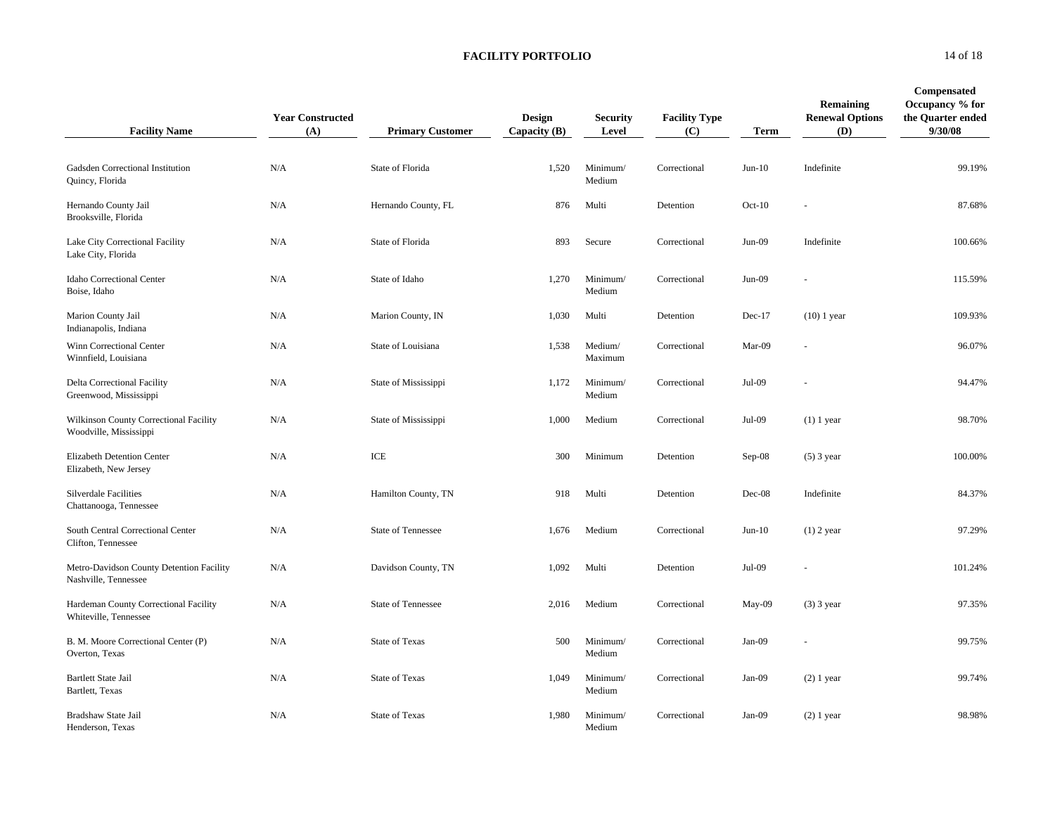| <b>Facility Name</b>                                             | <b>Year Constructed</b><br>(A) | <b>Primary Customer</b>              | Design<br>Capacity $(B)$ | <b>Security</b><br>Level | <b>Facility Type</b><br>(C) | <b>Term</b> | <b>Remaining</b><br><b>Renewal Options</b><br>(D) | <b>Compensated</b><br>Occupancy % for<br>the Quarter ended<br>9/30/08 |
|------------------------------------------------------------------|--------------------------------|--------------------------------------|--------------------------|--------------------------|-----------------------------|-------------|---------------------------------------------------|-----------------------------------------------------------------------|
| Gadsden Correctional Institution<br>Quincy, Florida              | N/A                            | State of Florida                     | 1,520                    | Minimum/<br>Medium       | Correctional                | $Jun-10$    | Indefinite                                        | 99.19%                                                                |
| Hernando County Jail<br>Brooksville, Florida                     | N/A                            | Hernando County, FL                  | 876                      | Multi                    | Detention                   | $Oct-10$    |                                                   | 87.68%                                                                |
| Lake City Correctional Facility<br>Lake City, Florida            | N/A                            | State of Florida                     | 893                      | Secure                   | Correctional                | $Jun-09$    | Indefinite                                        | 100.66%                                                               |
| Idaho Correctional Center<br>Boise, Idaho                        | N/A                            | State of Idaho                       | 1,270                    | Minimum/<br>Medium       | Correctional                | $Jun-09$    |                                                   | 115.59%                                                               |
| Marion County Jail<br>Indianapolis, Indiana                      | N/A                            | Marion County, IN                    | 1,030                    | Multi                    | Detention                   | $Dec-17$    | $(10)$ 1 year                                     | 109.93%                                                               |
| Winn Correctional Center<br>Winnfield, Louisiana                 | N/A                            | State of Louisiana                   | 1,538                    | Medium/<br>Maximum       | Correctional                | Mar-09      |                                                   | 96.07%                                                                |
| Delta Correctional Facility<br>Greenwood, Mississippi            | N/A                            | State of Mississippi                 | 1,172                    | Minimum/<br>Medium       | Correctional                | Jul-09      |                                                   | 94.47%                                                                |
| Wilkinson County Correctional Facility<br>Woodville, Mississippi | N/A                            | State of Mississippi                 | 1,000                    | Medium                   | Correctional                | Jul-09      | $(1)$ 1 year                                      | 98.70%                                                                |
| Elizabeth Detention Center<br>Elizabeth, New Jersey              | N/A                            | $\ensuremath{\textup{\textbf{ICE}}}$ | 300                      | Minimum                  | Detention                   | $Sep-08$    | $(5)$ 3 year                                      | 100.00%                                                               |
| <b>Silverdale Facilities</b><br>Chattanooga, Tennessee           | N/A                            | Hamilton County, TN                  | 918                      | Multi                    | Detention                   | $Dec-08$    | Indefinite                                        | 84.37%                                                                |
| South Central Correctional Center<br>Clifton, Tennessee          | N/A                            | State of Tennessee                   | 1,676                    | Medium                   | Correctional                | $Jun-10$    | $(1)$ 2 year                                      | 97.29%                                                                |
| Metro-Davidson County Detention Facility<br>Nashville, Tennessee | N/A                            | Davidson County, TN                  | 1,092                    | Multi                    | Detention                   | Jul-09      |                                                   | 101.24%                                                               |
| Hardeman County Correctional Facility<br>Whiteville, Tennessee   | N/A                            | <b>State of Tennessee</b>            | 2,016                    | Medium                   | Correctional                | May-09      | $(3)$ 3 year                                      | 97.35%                                                                |
| B. M. Moore Correctional Center (P)<br>Overton, Texas            | N/A                            | <b>State of Texas</b>                | 500                      | Minimum/<br>Medium       | Correctional                | Jan-09      |                                                   | 99.75%                                                                |
| <b>Bartlett State Jail</b><br>Bartlett, Texas                    | N/A                            | <b>State of Texas</b>                | 1,049                    | Minimum/<br>Medium       | Correctional                | $Jan-09$    | $(2)$ 1 year                                      | 99.74%                                                                |
| Bradshaw State Jail<br>Henderson, Texas                          | N/A                            | State of Texas                       | 1,980                    | Minimum/<br>Medium       | Correctional                | $Jan-09$    | $(2)$ 1 year                                      | 98.98%                                                                |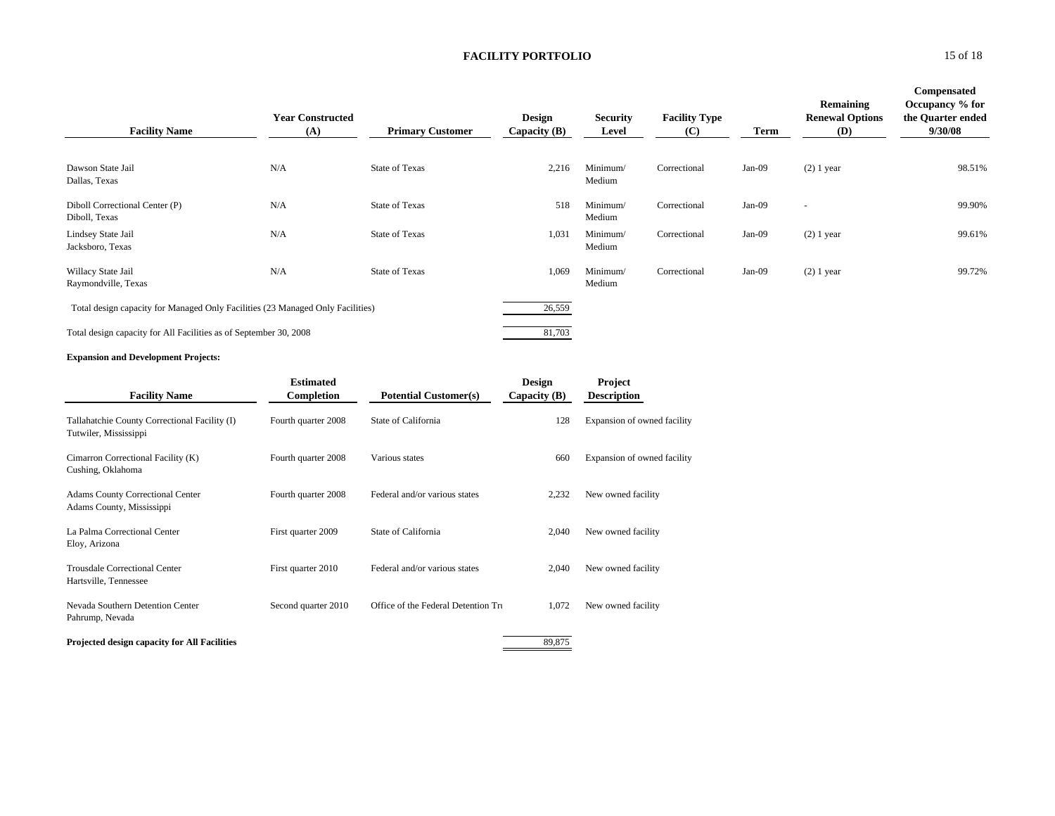| <b>Facility Name</b>                                                           | <b>Year Constructed</b><br>(A) | <b>Primary Customer</b> | <b>Design</b><br>Capacity $(B)$ | <b>Security</b><br>Level | <b>Facility Type</b><br>(C) | <b>Term</b> | Remaining<br><b>Renewal Options</b><br>(D) | Compensated<br>Occupancy % for<br>the Quarter ended<br>9/30/08 |
|--------------------------------------------------------------------------------|--------------------------------|-------------------------|---------------------------------|--------------------------|-----------------------------|-------------|--------------------------------------------|----------------------------------------------------------------|
| Dawson State Jail<br>Dallas, Texas                                             | N/A                            | <b>State of Texas</b>   | 2,216                           | Minimum/<br>Medium       | Correctional                | $Jan-09$    | $(2)$ 1 year                               | 98.51%                                                         |
| Diboll Correctional Center (P)<br>Diboll, Texas                                | N/A                            | <b>State of Texas</b>   | 518                             | Minimum/<br>Medium       | Correctional                | Jan-09      | $\overline{\phantom{a}}$                   | 99.90%                                                         |
| Lindsey State Jail<br>Jacksboro, Texas                                         | N/A                            | State of Texas          | 1,031                           | Minimum/<br>Medium       | Correctional                | $Jan-09$    | $(2)$ 1 year                               | 99.61%                                                         |
| Willacy State Jail<br>Raymondville, Texas                                      | N/A                            | <b>State of Texas</b>   | 1,069                           | Minimum/<br>Medium       | Correctional                | $Jan-09$    | $(2)$ 1 year                               | 99.72%                                                         |
| Total design capacity for Managed Only Facilities (23 Managed Only Facilities) |                                |                         | 26,559                          |                          |                             |             |                                            |                                                                |
| Total design capacity for All Facilities as of September 30, 2008              |                                |                         | 81,703                          |                          |                             |             |                                            |                                                                |

#### **Expansion and Development Projects:**

| <b>Facility Name</b>                                                   | <b>Estimated</b><br>Completion | <b>Potential Customer(s)</b>        | <b>Design</b><br>Capacity $(B)$ | Project<br><b>Description</b> |
|------------------------------------------------------------------------|--------------------------------|-------------------------------------|---------------------------------|-------------------------------|
| Tallahatchie County Correctional Facility (I)<br>Tutwiler, Mississippi | Fourth quarter 2008            | State of California                 | 128                             | Expansion of owned facility   |
| Cimarron Correctional Facility (K)<br>Cushing, Oklahoma                | Fourth quarter 2008            | Various states                      | 660                             | Expansion of owned facility   |
| <b>Adams County Correctional Center</b><br>Adams County, Mississippi   | Fourth quarter 2008            | Federal and/or various states       | 2,232                           | New owned facility            |
| La Palma Correctional Center<br>Eloy, Arizona                          | First quarter 2009             | State of California                 | 2,040                           | New owned facility            |
| <b>Trousdale Correctional Center</b><br>Hartsville, Tennessee          | First quarter 2010             | Federal and/or various states       | 2,040                           | New owned facility            |
| Nevada Southern Detention Center<br>Pahrump, Nevada                    | Second quarter 2010            | Office of the Federal Detention Tru | 1,072                           | New owned facility            |
| Projected design capacity for All Facilities                           |                                |                                     | 89,875                          |                               |

15 of 18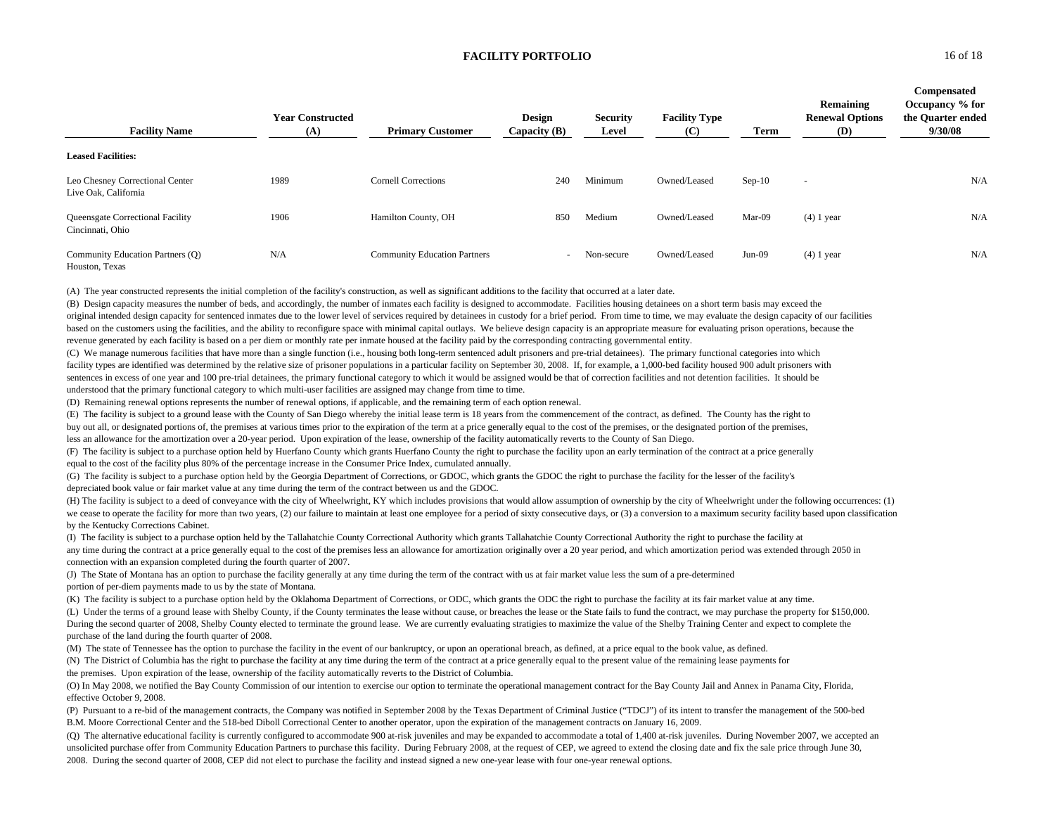| <b>Facility Name</b>                                    | <b>Year Constructed</b><br>(A) | <b>Primary Customer</b>             | Design<br>Capacity $(B)$ | <b>Security</b><br>Level | <b>Facility Type</b><br>(C) | Term     | Remaining<br><b>Renewal Options</b><br>(D) | Compensated<br>Occupancy % for<br>the Quarter ended<br>9/30/08 |
|---------------------------------------------------------|--------------------------------|-------------------------------------|--------------------------|--------------------------|-----------------------------|----------|--------------------------------------------|----------------------------------------------------------------|
| <b>Leased Facilities:</b>                               |                                |                                     |                          |                          |                             |          |                                            |                                                                |
| Leo Chesney Correctional Center<br>Live Oak, California | 1989                           | <b>Cornell Corrections</b>          | 240                      | Minimum                  | Owned/Leased                | $Sep-10$ | $\overline{\phantom{a}}$                   | N/A                                                            |
| Queensgate Correctional Facility<br>Cincinnati, Ohio    | 1906                           | Hamilton County, OH                 | 850                      | Medium                   | Owned/Leased                | Mar-09   | $(4)$ 1 year                               | N/A                                                            |
| Community Education Partners (Q)<br>Houston, Texas      | N/A                            | <b>Community Education Partners</b> |                          | Non-secure               | Owned/Leased                | $Jun-09$ | $(4)$ 1 year                               | N/A                                                            |

(A) The year constructed represents the initial completion of the facility's construction, as well as significant additions to the facility that occurred at a later date.

(B) Design capacity measures the number of beds, and accordingly, the number of inmates each facility is designed to accommodate. Facilities housing detainees on a short term basis may exceed the original intended design capacity for sentenced inmates due to the lower level of services required by detainees in custody for a brief period. From time to time, we may evaluate the design capacity of our facilities based on the customers using the facilities, and the ability to reconfigure space with minimal capital outlays. We believe design capacity is an appropriate measure for evaluating prison operations, because the revenue generated by each facility is based on a per diem or monthly rate per inmate housed at the facility paid by the corresponding contracting governmental entity.

(C) We manage numerous facilities that have more than a single function (i.e., housing both long-term sentenced adult prisoners and pre-trial detainees). The primary functional categories into which facility types are identified was determined by the relative size of prisoner populations in a particular facility on September 30, 2008. If, for example, a 1,000-bed facility housed 900 adult prisoners with sentences in excess of one year and 100 pre-trial detainees, the primary functional category to which it would be assigned would be that of correction facilities and not detention facilities. It should be understood that the primary functional category to which multi-user facilities are assigned may change from time to time.

(D) Remaining renewal options represents the number of renewal options, if applicable, and the remaining term of each option renewal.

(E) The facility is subject to a ground lease with the County of San Diego whereby the initial lease term is 18 years from the commencement of the contract, as defined. The County has the right to

buy out all, or designated portions of, the premises at various times prior to the expiration of the term at a price generally equal to the cost of the premises, or the designated portion of the premises,

less an allowance for the amortization over a 20-year period. Upon expiration of the lease, ownership of the facility automatically reverts to the County of San Diego.

(F) The facility is subject to a purchase option held by Huerfano County which grants Huerfano County the right to purchase the facility upon an early termination of the contract at a price generally equal to the cost of the facility plus 80% of the percentage increase in the Consumer Price Index, cumulated annually.

(G) The facility is subject to a purchase option held by the Georgia Department of Corrections, or GDOC, which grants the GDOC the right to purchase the facility for the lesser of the facility's depreciated book value or fair market value at any time during the term of the contract between us and the GDOC.

(H) The facility is subject to a deed of conveyance with the city of Wheelwright, KY which includes provisions that would allow assumption of ownership by the city of Wheelwright under the following occurrences: (1) we cease to operate the facility for more than two years, (2) our failure to maintain at least one employee for a period of sixty consecutive days, or (3) a conversion to a maximum security facility based upon classificati by the Kentucky Corrections Cabinet.

(I) The facility is subject to a purchase option held by the Tallahatchie County Correctional Authority which grants Tallahatchie County Correctional Authority the right to purchase the facility at any time during the contract at a price generally equal to the cost of the premises less an allowance for amortization originally over a 20 year period, and which amortization period was extended through 2050 in connection with an expansion completed during the fourth quarter of 2007.

(J) The State of Montana has an option to purchase the facility generally at any time during the term of the contract with us at fair market value less the sum of a pre-determined portion of per-diem payments made to us by the state of Montana.

(K) The facility is subject to a purchase option held by the Oklahoma Department of Corrections, or ODC, which grants the ODC the right to purchase the facility at its fair market value at any time.

(L) Under the terms of a ground lease with Shelby County, if the County terminates the lease without cause, or breaches the lease or the State fails to fund the contract, we may purchase the property for \$150,000. During the second quarter of 2008, Shelby County elected to terminate the ground lease. We are currently evaluating stratigies to maximize the value of the Shelby Training Center and expect to complete the purchase of the land during the fourth quarter of 2008.

(M) The state of Tennessee has the option to purchase the facility in the event of our bankruptcy, or upon an operational breach, as defined, at a price equal to the book value, as defined.

(N) The District of Columbia has the right to purchase the facility at any time during the term of the contract at a price generally equal to the present value of the remaining lease payments for the premises. Upon expiration of the lease, ownership of the facility automatically reverts to the District of Columbia.

(O) In May 2008, we notified the Bay County Commission of our intention to exercise our option to terminate the operational management contract for the Bay County Jail and Annex in Panama City, Florida, effective October 9, 2008.

(P) Pursuant to a re-bid of the management contracts, the Company was notified in September 2008 by the Texas Department of Criminal Justice ("TDCJ") of its intent to transfer the management of the 500-bed B.M. Moore Correctional Center and the 518-bed Diboll Correctional Center to another operator, upon the expiration of the management contracts on January 16, 2009.

(Q) The alternative educational facility is currently configured to accommodate 900 at-risk juveniles and may be expanded to accommodate a total of 1,400 at-risk juveniles. During November 2007, we accepted an unsolicited purchase offer from Community Education Partners to purchase this facility. During February 2008, at the request of CEP, we agreed to extend the closing date and fix the sale price through June 30, 2008. During the second quarter of 2008, CEP did not elect to purchase the facility and instead signed a new one-year lease with four one-year renewal options.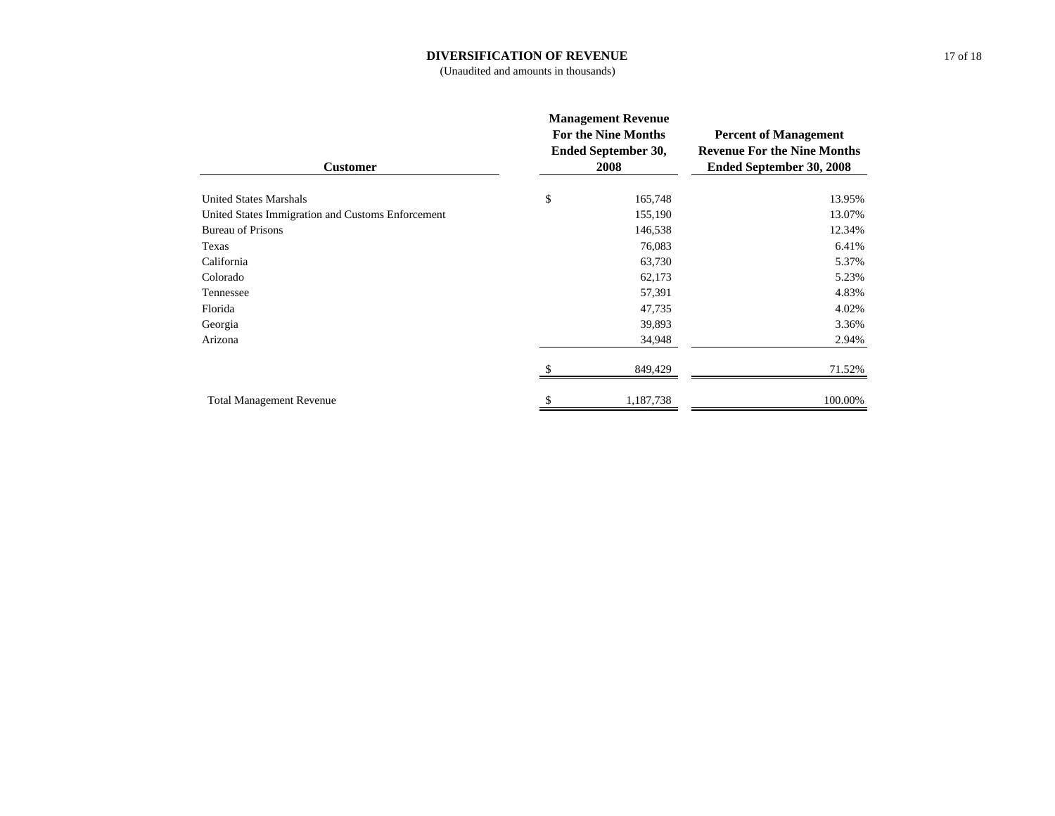#### **DIVERSIFICATION OF REVENUE**

(Unaudited and amounts in thousands)

| <b>Customer</b>                                   | <b>Management Revenue</b><br><b>For the Nine Months</b><br>Ended September 30,<br>2008 | <b>Percent of Management</b><br><b>Revenue For the Nine Months</b><br>Ended September 30, 2008 |  |
|---------------------------------------------------|----------------------------------------------------------------------------------------|------------------------------------------------------------------------------------------------|--|
| <b>United States Marshals</b>                     | \$<br>165,748                                                                          | 13.95%                                                                                         |  |
| United States Immigration and Customs Enforcement | 155,190                                                                                | 13.07%                                                                                         |  |
| <b>Bureau of Prisons</b>                          | 146,538                                                                                | 12.34%                                                                                         |  |
| Texas                                             | 76,083                                                                                 | 6.41%                                                                                          |  |
| California                                        | 63,730                                                                                 | 5.37%                                                                                          |  |
| Colorado                                          | 62,173                                                                                 | 5.23%                                                                                          |  |
| Tennessee                                         | 57,391                                                                                 | 4.83%                                                                                          |  |
| Florida                                           | 47,735                                                                                 | 4.02%                                                                                          |  |
| Georgia                                           | 39,893                                                                                 | 3.36%                                                                                          |  |
| Arizona                                           | 34,948                                                                                 | 2.94%                                                                                          |  |
|                                                   | 849,429                                                                                | 71.52%                                                                                         |  |
| <b>Total Management Revenue</b>                   | 1,187,738                                                                              | 100.00%                                                                                        |  |